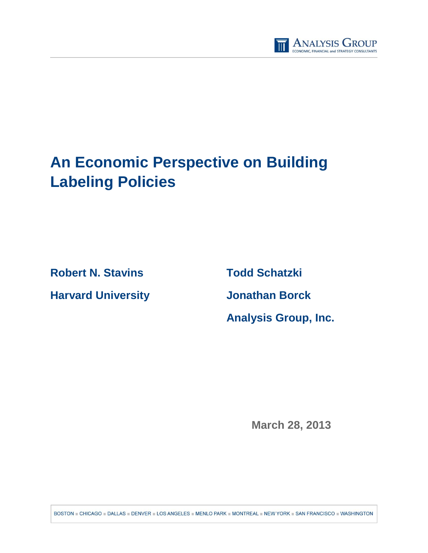

# **An Economic Perspective on Building Labeling Policies**

**Robert N. Stavins Todd Schatzki**

**Harvard University Jonathan Borck**

**Analysis Group, Inc.** 

**March 28, 2013**

BOSTON = CHICAGO = DALLAS = DENVER = LOS ANGELES = MENLO PARK = MONTREAL = NEW YORK = SAN FRANCISCO = WASHINGTON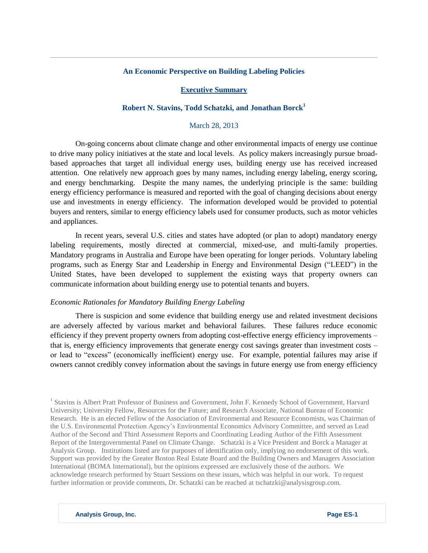## **An Economic Perspective on Building Labeling Policies**

## **Executive Summary**

# **Robert N. Stavins, Todd Schatzki, and Jonathan Borck<sup>1</sup>**

#### March 28, 2013

On-going concerns about climate change and other environmental impacts of energy use continue to drive many policy initiatives at the state and local levels. As policy makers increasingly pursue broadbased approaches that target all individual energy uses, building energy use has received increased attention. One relatively new approach goes by many names, including energy labeling, energy scoring, and energy benchmarking. Despite the many names, the underlying principle is the same: building energy efficiency performance is measured and reported with the goal of changing decisions about energy use and investments in energy efficiency. The information developed would be provided to potential buyers and renters, similar to energy efficiency labels used for consumer products, such as motor vehicles and appliances.

In recent years, several U.S. cities and states have adopted (or plan to adopt) mandatory energy labeling requirements, mostly directed at commercial, mixed-use, and multi-family properties. Mandatory programs in Australia and Europe have been operating for longer periods. Voluntary labeling programs, such as Energy Star and Leadership in Energy and Environmental Design ("LEED") in the United States, have been developed to supplement the existing ways that property owners can communicate information about building energy use to potential tenants and buyers.

#### *Economic Rationales for Mandatory Building Energy Labeling*

There is suspicion and some evidence that building energy use and related investment decisions are adversely affected by various market and behavioral failures. These failures reduce economic efficiency if they prevent property owners from adopting cost-effective energy efficiency improvements – that is, energy efficiency improvements that generate energy cost savings greater than investment costs – or lead to "excess" (economically inefficient) energy use. For example, potential failures may arise if owners cannot credibly convey information about the savings in future energy use from energy efficiency

<sup>1</sup> Stavins is Albert Pratt Professor of Business and Government, John F. Kennedy School of Government, Harvard University; University Fellow, Resources for the Future; and Research Associate, National Bureau of Economic Research. He is an elected Fellow of the Association of Environmental and Resource Economists, was Chairman of the U.S. Environmental Protection Agency's Environmental Economics Advisory Committee, and served as Lead Author of the Second and Third Assessment Reports and Coordinating Leading Author of the Fifth Assessment Report of the Intergovernmental Panel on Climate Change. Schatzki is a Vice President and Borck a Manager at Analysis Group. Institutions listed are for purposes of identification only, implying no endorsement of this work. Support was provided by the Greater Boston Real Estate Board and the Building Owners and Managers Association International (BOMA International), but the opinions expressed are exclusively those of the authors. We acknowledge research performed by Stuart Sessions on these issues, which was helpful in our work. To request further information or provide comments, Dr. Schatzki can be reached a[t tschatzki@analysisgroup.com.](mailto:tschatzki@analysisgroup.com)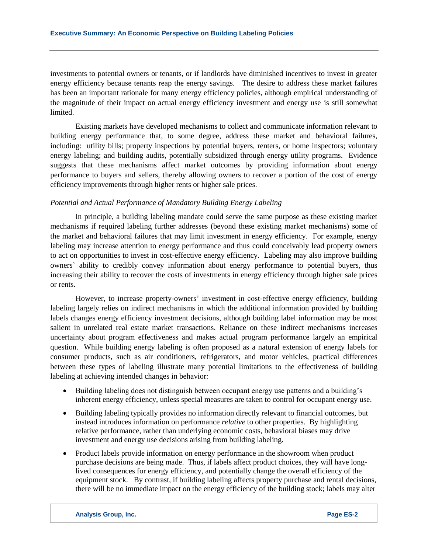investments to potential owners or tenants, or if landlords have diminished incentives to invest in greater energy efficiency because tenants reap the energy savings. The desire to address these market failures has been an important rationale for many energy efficiency policies, although empirical understanding of the magnitude of their impact on actual energy efficiency investment and energy use is still somewhat limited.

Existing markets have developed mechanisms to collect and communicate information relevant to building energy performance that, to some degree, address these market and behavioral failures, including: utility bills; property inspections by potential buyers, renters, or home inspectors; voluntary energy labeling; and building audits, potentially subsidized through energy utility programs. Evidence suggests that these mechanisms affect market outcomes by providing information about energy performance to buyers and sellers, thereby allowing owners to recover a portion of the cost of energy efficiency improvements through higher rents or higher sale prices.

#### *Potential and Actual Performance of Mandatory Building Energy Labeling*

In principle, a building labeling mandate could serve the same purpose as these existing market mechanisms if required labeling further addresses (beyond these existing market mechanisms) some of the market and behavioral failures that may limit investment in energy efficiency. For example, energy labeling may increase attention to energy performance and thus could conceivably lead property owners to act on opportunities to invest in cost-effective energy efficiency. Labeling may also improve building owners' ability to credibly convey information about energy performance to potential buyers, thus increasing their ability to recover the costs of investments in energy efficiency through higher sale prices or rents.

However, to increase property-owners' investment in cost-effective energy efficiency, building labeling largely relies on indirect mechanisms in which the additional information provided by building labels changes energy efficiency investment decisions, although building label information may be most salient in unrelated real estate market transactions. Reliance on these indirect mechanisms increases uncertainty about program effectiveness and makes actual program performance largely an empirical question. While building energy labeling is often proposed as a natural extension of energy labels for consumer products, such as air conditioners, refrigerators, and motor vehicles, practical differences between these types of labeling illustrate many potential limitations to the effectiveness of building labeling at achieving intended changes in behavior:

- Building labeling does not distinguish between occupant energy use patterns and a building's inherent energy efficiency, unless special measures are taken to control for occupant energy use.
- Building labeling typically provides no information directly relevant to financial outcomes, but instead introduces information on performance *relative* to other properties. By highlighting relative performance, rather than underlying economic costs, behavioral biases may drive investment and energy use decisions arising from building labeling.
- Product labels provide information on energy performance in the showroom when product purchase decisions are being made. Thus, if labels affect product choices, they will have longlived consequences for energy efficiency, and potentially change the overall efficiency of the equipment stock. By contrast, if building labeling affects property purchase and rental decisions, there will be no immediate impact on the energy efficiency of the building stock; labels may alter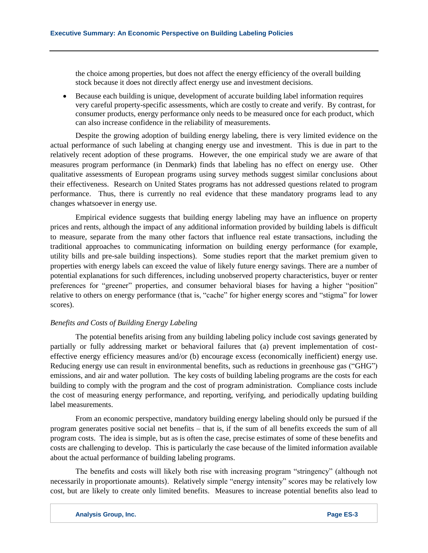the choice among properties, but does not affect the energy efficiency of the overall building stock because it does not directly affect energy use and investment decisions.

 Because each building is unique, development of accurate building label information requires very careful property-specific assessments, which are costly to create and verify. By contrast, for consumer products, energy performance only needs to be measured once for each product, which can also increase confidence in the reliability of measurements.

Despite the growing adoption of building energy labeling, there is very limited evidence on the actual performance of such labeling at changing energy use and investment. This is due in part to the relatively recent adoption of these programs. However, the one empirical study we are aware of that measures program performance (in Denmark) finds that labeling has no effect on energy use. Other qualitative assessments of European programs using survey methods suggest similar conclusions about their effectiveness. Research on United States programs has not addressed questions related to program performance. Thus, there is currently no real evidence that these mandatory programs lead to any changes whatsoever in energy use.

Empirical evidence suggests that building energy labeling may have an influence on property prices and rents, although the impact of any additional information provided by building labels is difficult to measure, separate from the many other factors that influence real estate transactions, including the traditional approaches to communicating information on building energy performance (for example, utility bills and pre-sale building inspections). Some studies report that the market premium given to properties with energy labels can exceed the value of likely future energy savings. There are a number of potential explanations for such differences, including unobserved property characteristics, buyer or renter preferences for "greener" properties, and consumer behavioral biases for having a higher "position" relative to others on energy performance (that is, "cache" for higher energy scores and "stigma" for lower scores).

## *Benefits and Costs of Building Energy Labeling*

The potential benefits arising from any building labeling policy include cost savings generated by partially or fully addressing market or behavioral failures that (a) prevent implementation of costeffective energy efficiency measures and/or (b) encourage excess (economically inefficient) energy use. Reducing energy use can result in environmental benefits, such as reductions in greenhouse gas ("GHG") emissions, and air and water pollution. The key costs of building labeling programs are the costs for each building to comply with the program and the cost of program administration. Compliance costs include the cost of measuring energy performance, and reporting, verifying, and periodically updating building label measurements.

From an economic perspective, mandatory building energy labeling should only be pursued if the program generates positive social net benefits – that is, if the sum of all benefits exceeds the sum of all program costs. The idea is simple, but as is often the case, precise estimates of some of these benefits and costs are challenging to develop. This is particularly the case because of the limited information available about the actual performance of building labeling programs.

The benefits and costs will likely both rise with increasing program "stringency" (although not necessarily in proportionate amounts). Relatively simple "energy intensity" scores may be relatively low cost, but are likely to create only limited benefits. Measures to increase potential benefits also lead to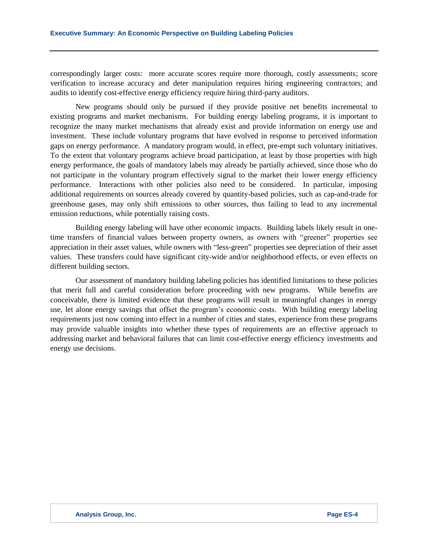correspondingly larger costs: more accurate scores require more thorough, costly assessments; score verification to increase accuracy and deter manipulation requires hiring engineering contractors; and audits to identify cost-effective energy efficiency require hiring third-party auditors.

New programs should only be pursued if they provide positive net benefits incremental to existing programs and market mechanisms. For building energy labeling programs, it is important to recognize the many market mechanisms that already exist and provide information on energy use and investment. These include voluntary programs that have evolved in response to perceived information gaps on energy performance. A mandatory program would, in effect, pre-empt such voluntary initiatives. To the extent that voluntary programs achieve broad participation, at least by those properties with high energy performance, the goals of mandatory labels may already be partially achieved, since those who do not participate in the voluntary program effectively signal to the market their lower energy efficiency performance. Interactions with other policies also need to be considered. In particular, imposing additional requirements on sources already covered by quantity-based policies, such as cap-and-trade for greenhouse gases, may only shift emissions to other sources, thus failing to lead to any incremental emission reductions, while potentially raising costs.

Building energy labeling will have other economic impacts. Building labels likely result in onetime transfers of financial values between property owners, as owners with "greener" properties see appreciation in their asset values, while owners with "less-green" properties see depreciation of their asset values. These transfers could have significant city-wide and/or neighborhood effects, or even effects on different building sectors.

Our assessment of mandatory building labeling policies has identified limitations to these policies that merit full and careful consideration before proceeding with new programs. While benefits are conceivable, there is limited evidence that these programs will result in meaningful changes in energy use, let alone energy savings that offset the program's economic costs. With building energy labeling requirements just now coming into effect in a number of cities and states, experience from these programs may provide valuable insights into whether these types of requirements are an effective approach to addressing market and behavioral failures that can limit cost-effective energy efficiency investments and energy use decisions.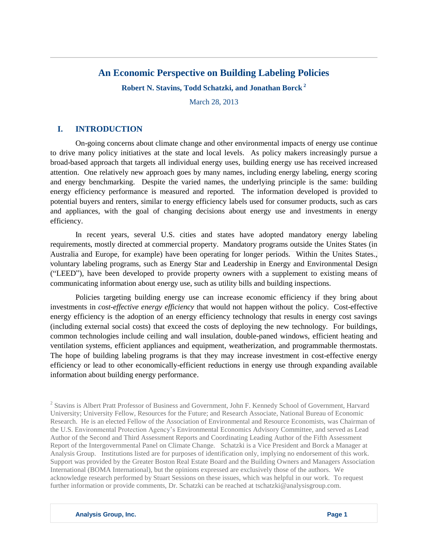# **An Economic Perspective on Building Labeling Policies**

**Robert N. Stavins, Todd Schatzki, and Jonathan Borck <sup>2</sup>**

March 28, 2013

# **I. INTRODUCTION**

On-going concerns about climate change and other environmental impacts of energy use continue to drive many policy initiatives at the state and local levels. As policy makers increasingly pursue a broad-based approach that targets all individual energy uses, building energy use has received increased attention. One relatively new approach goes by many names, including energy labeling, energy scoring and energy benchmarking. Despite the varied names, the underlying principle is the same: building energy efficiency performance is measured and reported. The information developed is provided to potential buyers and renters, similar to energy efficiency labels used for consumer products, such as cars and appliances, with the goal of changing decisions about energy use and investments in energy efficiency.

In recent years, several U.S. cities and states have adopted mandatory energy labeling requirements, mostly directed at commercial property. Mandatory programs outside the Unites States (in Australia and Europe, for example) have been operating for longer periods. Within the Unites States., voluntary labeling programs, such as Energy Star and Leadership in Energy and Environmental Design ("LEED"), have been developed to provide property owners with a supplement to existing means of communicating information about energy use, such as utility bills and building inspections.

Policies targeting building energy use can increase economic efficiency if they bring about investments in *cost-effective energy efficiency* that would not happen without the policy. Cost-effective energy efficiency is the adoption of an energy efficiency technology that results in energy cost savings (including external social costs) that exceed the costs of deploying the new technology. For buildings, common technologies include ceiling and wall insulation, double-paned windows, efficient heating and ventilation systems, efficient appliances and equipment, weatherization, and programmable thermostats. The hope of building labeling programs is that they may increase investment in cost-effective energy efficiency or lead to other economically-efficient reductions in energy use through expanding available information about building energy performance.

<sup>2</sup> Stavins is Albert Pratt Professor of Business and Government, John F. Kennedy School of Government, Harvard University; University Fellow, Resources for the Future; and Research Associate, National Bureau of Economic Research. He is an elected Fellow of the Association of Environmental and Resource Economists, was Chairman of the U.S. Environmental Protection Agency's Environmental Economics Advisory Committee, and served as Lead Author of the Second and Third Assessment Reports and Coordinating Leading Author of the Fifth Assessment Report of the Intergovernmental Panel on Climate Change. Schatzki is a Vice President and Borck a Manager at Analysis Group. Institutions listed are for purposes of identification only, implying no endorsement of this work. Support was provided by the Greater Boston Real Estate Board and the Building Owners and Managers Association International (BOMA International), but the opinions expressed are exclusively those of the authors. We acknowledge research performed by Stuart Sessions on these issues, which was helpful in our work. To request further information or provide comments, Dr. Schatzki can be reached at [tschatzki@analysisgroup.com.](mailto:tschatzki@analysisgroup.com)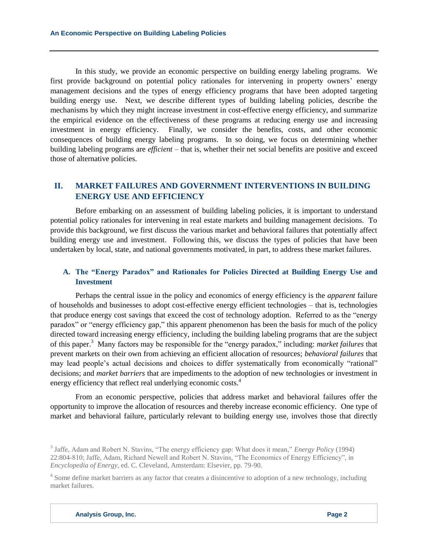In this study, we provide an economic perspective on building energy labeling programs. We first provide background on potential policy rationales for intervening in property owners' energy management decisions and the types of energy efficiency programs that have been adopted targeting building energy use. Next, we describe different types of building labeling policies, describe the mechanisms by which they might increase investment in cost-effective energy efficiency, and summarize the empirical evidence on the effectiveness of these programs at reducing energy use and increasing investment in energy efficiency. Finally, we consider the benefits, costs, and other economic consequences of building energy labeling programs. In so doing, we focus on determining whether building labeling programs are *efficient* – that is, whether their net social benefits are positive and exceed those of alternative policies.

# **II. MARKET FAILURES AND GOVERNMENT INTERVENTIONS IN BUILDING ENERGY USE AND EFFICIENCY**

Before embarking on an assessment of building labeling policies, it is important to understand potential policy rationales for intervening in real estate markets and building management decisions. To provide this background, we first discuss the various market and behavioral failures that potentially affect building energy use and investment. Following this, we discuss the types of policies that have been undertaken by local, state, and national governments motivated, in part, to address these market failures.

# **A. The "Energy Paradox" and Rationales for Policies Directed at Building Energy Use and Investment**

Perhaps the central issue in the policy and economics of energy efficiency is the *apparent* failure of households and businesses to adopt cost-effective energy efficient technologies – that is, technologies that produce energy cost savings that exceed the cost of technology adoption. Referred to as the "energy paradox" or "energy efficiency gap," this apparent phenomenon has been the basis for much of the policy directed toward increasing energy efficiency, including the building labeling programs that are the subject of this paper.<sup>3</sup> Many factors may be responsible for the "energy paradox," including: *market failures* that prevent markets on their own from achieving an efficient allocation of resources; *behavioral failures* that may lead people's actual decisions and choices to differ systematically from economically "rational" decisions; and *market barriers* that are impediments to the adoption of new technologies or investment in energy efficiency that reflect real underlying economic costs.<sup>4</sup>

From an economic perspective, policies that address market and behavioral failures offer the opportunity to improve the allocation of resources and thereby increase economic efficiency. One type of market and behavioral failure, particularly relevant to building energy use, involves those that directly

<sup>3</sup> Jaffe, Adam and Robert N. Stavins, "The energy efficiency gap: What does it mean," *Energy Policy* (1994) 22:804-810; Jaffe, Adam, Richard Newell and Robert N. Stavins, "The Economics of Energy Efficiency", in *Encyclopedia of Energy,* ed. C. Cleveland, Amsterdam: Elsevier, pp. 79-90.

<sup>&</sup>lt;sup>4</sup> Some define market barriers as any factor that creates a disincentive to adoption of a new technology, including market failures.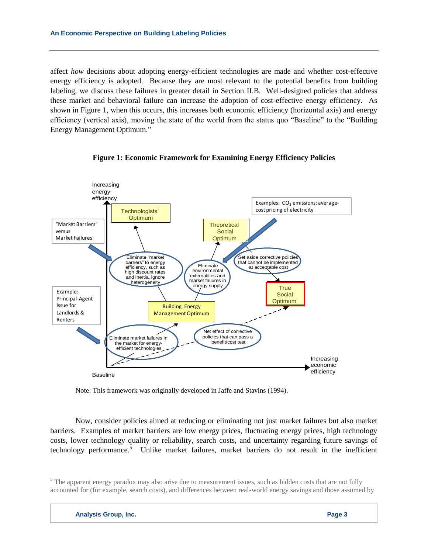affect *how* decisions about adopting energy-efficient technologies are made and whether cost-effective energy efficiency is adopted. Because they are most relevant to the potential benefits from building labeling, we discuss these failures in greater detail in Section II.B. Well-designed policies that address these market and behavioral failure can increase the adoption of cost-effective energy efficiency. As shown in Figure 1, when this occurs, this increases both economic efficiency (horizontal axis) and energy efficiency (vertical axis), moving the state of the world from the status quo "Baseline" to the "Building Energy Management Optimum."





Note: This framework was originally developed in Jaffe and Stavins (1994).

Now, consider policies aimed at reducing or eliminating not just market failures but also market barriers. Examples of market barriers are low energy prices, fluctuating energy prices, high technology costs, lower technology quality or reliability, search costs, and uncertainty regarding future savings of technology performance.<sup>5</sup> Unlike market failures, market barriers do not result in the inefficient

<sup>&</sup>lt;sup>5</sup> The apparent energy paradox may also arise due to measurement issues, such as hidden costs that are not fully accounted for (for example, search costs), and differences between real-world energy savings and those assumed by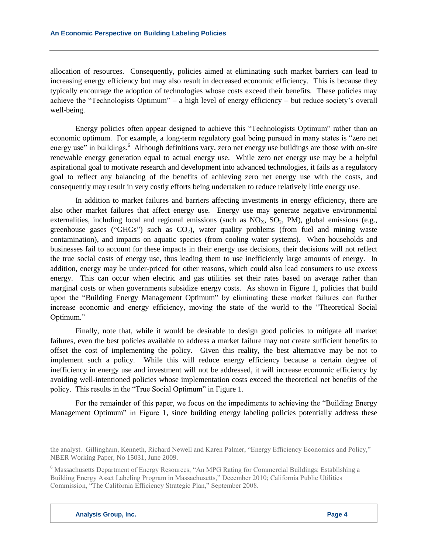allocation of resources. Consequently, policies aimed at eliminating such market barriers can lead to increasing energy efficiency but may also result in decreased economic efficiency. This is because they typically encourage the adoption of technologies whose costs exceed their benefits. These policies may achieve the "Technologists Optimum" – a high level of energy efficiency – but reduce society's overall well-being.

Energy policies often appear designed to achieve this "Technologists Optimum" rather than an economic optimum. For example, a long-term regulatory goal being pursued in many states is "zero net energy use" in buildings.<sup>6</sup> Although definitions vary, zero net energy use buildings are those with on-site renewable energy generation equal to actual energy use. While zero net energy use may be a helpful aspirational goal to motivate research and development into advanced technologies, it fails as a regulatory goal to reflect any balancing of the benefits of achieving zero net energy use with the costs, and consequently may result in very costly efforts being undertaken to reduce relatively little energy use.

In addition to market failures and barriers affecting investments in energy efficiency, there are also other market failures that affect energy use. Energy use may generate negative environmental externalities, including local and regional emissions (such as  $NO<sub>x</sub>$ ,  $SO<sub>2</sub>$ ,  $PM$ ), global emissions (e.g., greenhouse gases ("GHGs") such as  $CO<sub>2</sub>$ ), water quality problems (from fuel and mining waste contamination), and impacts on aquatic species (from cooling water systems). When households and businesses fail to account for these impacts in their energy use decisions, their decisions will not reflect the true social costs of energy use, thus leading them to use inefficiently large amounts of energy. In addition, energy may be under-priced for other reasons, which could also lead consumers to use excess energy. This can occur when electric and gas utilities set their rates based on average rather than marginal costs or when governments subsidize energy costs. As shown in Figure 1, policies that build upon the "Building Energy Management Optimum" by eliminating these market failures can further increase economic and energy efficiency, moving the state of the world to the "Theoretical Social Optimum."

Finally, note that, while it would be desirable to design good policies to mitigate all market failures, even the best policies available to address a market failure may not create sufficient benefits to offset the cost of implementing the policy. Given this reality, the best alternative may be not to implement such a policy. While this will reduce energy efficiency because a certain degree of inefficiency in energy use and investment will not be addressed, it will increase economic efficiency by avoiding well-intentioned policies whose implementation costs exceed the theoretical net benefits of the policy. This results in the "True Social Optimum" in Figure 1.

For the remainder of this paper, we focus on the impediments to achieving the "Building Energy Management Optimum" in Figure 1, since building energy labeling policies potentially address these

the analyst. Gillingham, Kenneth, Richard Newell and Karen Palmer, "Energy Efficiency Economics and Policy," NBER Working Paper, No 15031, June 2009.

<sup>6</sup> Massachusetts Department of Energy Resources, "An MPG Rating for Commercial Buildings: Establishing a Building Energy Asset Labeling Program in Massachusetts," December 2010; California Public Utilities Commission, "The California Efficiency Strategic Plan," September 2008.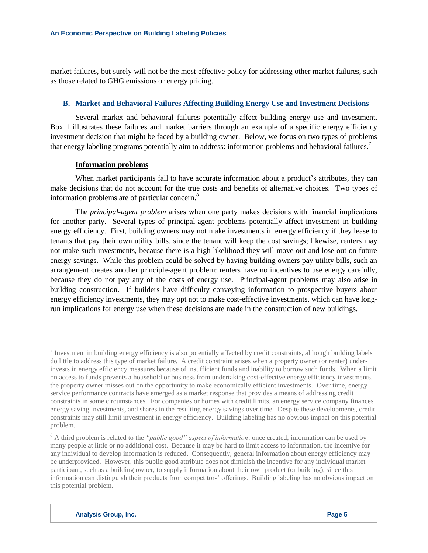market failures, but surely will not be the most effective policy for addressing other market failures, such as those related to GHG emissions or energy pricing.

# **B. Market and Behavioral Failures Affecting Building Energy Use and Investment Decisions**

Several market and behavioral failures potentially affect building energy use and investment. Box 1 illustrates these failures and market barriers through an example of a specific energy efficiency investment decision that might be faced by a building owner. Below, we focus on two types of problems that energy labeling programs potentially aim to address: information problems and behavioral failures.<sup>7</sup>

## **Information problems**

When market participants fail to have accurate information about a product's attributes, they can make decisions that do not account for the true costs and benefits of alternative choices. Two types of information problems are of particular concern.<sup>8</sup>

The *principal-agent problem* arises when one party makes decisions with financial implications for another party. Several types of principal-agent problems potentially affect investment in building energy efficiency. First, building owners may not make investments in energy efficiency if they lease to tenants that pay their own utility bills, since the tenant will keep the cost savings; likewise, renters may not make such investments, because there is a high likelihood they will move out and lose out on future energy savings. While this problem could be solved by having building owners pay utility bills, such an arrangement creates another principle-agent problem: renters have no incentives to use energy carefully, because they do not pay any of the costs of energy use. Principal-agent problems may also arise in building construction. If builders have difficulty conveying information to prospective buyers about energy efficiency investments, they may opt not to make cost-effective investments, which can have longrun implications for energy use when these decisions are made in the construction of new buildings.

 $<sup>7</sup>$  Investment in building energy efficiency is also potentially affected by credit constraints, although building labels</sup> do little to address this type of market failure. A credit constraint arises when a property owner (or renter) underinvests in energy efficiency measures because of insufficient funds and inability to borrow such funds. When a limit on access to funds prevents a household or business from undertaking cost-effective energy efficiency investments, the property owner misses out on the opportunity to make economically efficient investments. Over time, energy service performance contracts have emerged as a market response that provides a means of addressing credit constraints in some circumstances. For companies or homes with credit limits, an energy service company finances energy saving investments, and shares in the resulting energy savings over time. Despite these developments, credit constraints may still limit investment in energy efficiency. Building labeling has no obvious impact on this potential problem.

<sup>8</sup> A third problem is related to the *"public good" aspect of information*: once created, information can be used by many people at little or no additional cost. Because it may be hard to limit access to information, the incentive for any individual to develop information is reduced. Consequently, general information about energy efficiency may be underprovided. However, this public good attribute does not diminish the incentive for any individual market participant, such as a building owner, to supply information about their own product (or building), since this information can distinguish their products from competitors' offerings. Building labeling has no obvious impact on this potential problem.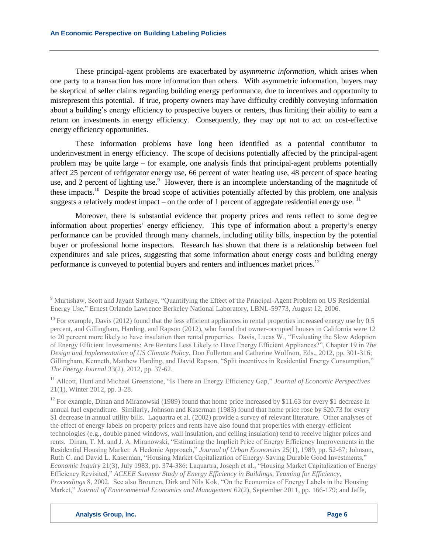These principal-agent problems are exacerbated by *asymmetric information*, which arises when one party to a transaction has more information than others. With asymmetric information, buyers may be skeptical of seller claims regarding building energy performance, due to incentives and opportunity to misrepresent this potential. If true, property owners may have difficulty credibly conveying information about a building's energy efficiency to prospective buyers or renters, thus limiting their ability to earn a return on investments in energy efficiency. Consequently, they may opt not to act on cost-effective energy efficiency opportunities.

These information problems have long been identified as a potential contributor to underinvestment in energy efficiency. The scope of decisions potentially affected by the principal-agent problem may be quite large – for example, one analysis finds that principal-agent problems potentially affect 25 percent of refrigerator energy use, 66 percent of water heating use, 48 percent of space heating use, and 2 percent of lighting use.<sup>9</sup> However, there is an incomplete understanding of the magnitude of these impacts.<sup>10</sup> Despite the broad scope of activities potentially affected by this problem, one analysis suggests a relatively modest impact – on the order of 1 percent of aggregate residential energy use.  $^{11}$ 

Moreover, there is substantial evidence that property prices and rents reflect to some degree information about properties' energy efficiency. This type of information about a property's energy performance can be provided through many channels, including utility bills, inspection by the potential buyer or professional home inspectors. Research has shown that there is a relationship between fuel expenditures and sale prices, suggesting that some information about energy costs and building energy performance is conveyed to potential buyers and renters and influences market prices.<sup>12</sup>

<sup>9</sup> Murtishaw, Scott and Jayant Sathaye, "Quantifying the Effect of the Principal-Agent Problem on US Residential Energy Use," Ernest Orlando Lawrence Berkeley National Laboratory, LBNL-59773, August 12, 2006.

 $10$  For example, Davis (2012) found that the less efficient appliances in rental properties increased energy use by 0.5 percent, and Gillingham, Harding, and Rapson (2012), who found that owner-occupied houses in California were 12 to 20 percent more likely to have insulation than rental properties. Davis, Lucas W., "Evaluating the Slow Adoption of Energy Efficient Investments: Are Renters Less Likely to Have Energy Efficient Appliances?", Chapter 19 in *The Design and Implementation of US Climate Policy*, Don Fullerton and Catherine Wolfram, Eds., 2012, pp. 301-316; Gillingham, Kenneth, Matthew Harding, and David Rapson, "Split incentives in Residential Energy Consumption," *The Energy Journal* 33(2), 2012, pp. 37-62.

<sup>11</sup> Allcott, Hunt and Michael Greenstone, "Is There an Energy Efficiency Gap," *Journal of Economic Perspectives*  21(1), Winter 2012, pp. 3-28.

<sup>&</sup>lt;sup>12</sup> For example, Dinan and Miranowski (1989) found that home price increased by \$11.63 for every \$1 decrease in annual fuel expenditure. Similarly, Johnson and Kaserman (1983) found that home price rose by \$20.73 for every \$1 decrease in annual utility bills. Laquartra et al. (2002) provide a survey of relevant literature. Other analyses of the effect of energy labels on property prices and rents have also found that properties with energy-efficient technologies (e.g., double paned windows, wall insulation, and ceiling insulation) tend to receive higher prices and rents. Dinan, T. M. and J. A. Miranowski, "Estimating the Implicit Price of Energy Efficiency Improvements in the Residential Housing Market: A Hedonic Approach," *Journal of Urban Economics* 25(1), 1989, pp. 52-67; Johnson, Ruth C. and David L. Kaserman, "Housing Market Capitalization of Energy-Saving Durable Good Investments," *Economic Inquiry* 21(3), July 1983, pp. 374-386; Laquartra, Joseph et al., "Housing Market Capitalization of Energy Efficiency Revisited," *ACEEE Summer Study of Energy Efficiency in Buildings, Teaming for Efficiency, Proceedings* 8, 2002. See also Brounen, Dirk and Nils Kok, "On the Economics of Energy Labels in the Housing Market," *Journal of Environmental Economics and Management* 62(2), September 2011, pp. 166-179; and Jaffe,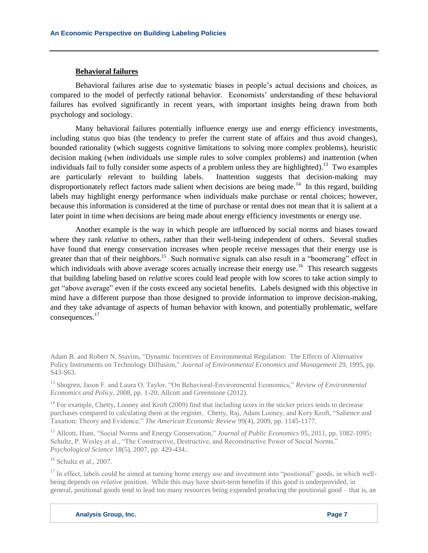# **Behavioral failures**

Behavioral failures arise due to systematic biases in people's actual decisions and choices, as compared to the model of perfectly rational behavior. Economists' understanding of these behavioral failures has evolved significantly in recent years, with important insights being drawn from both psychology and sociology.

Many behavioral failures potentially influence energy use and energy efficiency investments, including status quo bias (the tendency to prefer the current state of affairs and thus avoid changes), bounded rationality (which suggests cognitive limitations to solving more complex problems), heuristic decision making (when individuals use simple rules to solve complex problems) and inattention (when individuals fail to fully consider some aspects of a problem unless they are highlighted).<sup>13</sup> Two examples are particularly relevant to building labels. Inattention suggests that decision-making may disproportionately reflect factors made salient when decisions are being made.<sup>14</sup> In this regard, building labels may highlight energy performance when individuals make purchase or rental choices; however, because this information is considered at the time of purchase or rental does not mean that it is salient at a later point in time when decisions are being made about energy efficiency investments or energy use.

Another example is the way in which people are influenced by social norms and biases toward where they rank *relative* to others, rather than their well-being independent of others. Several studies have found that energy conservation increases when people receive messages that their energy use is greater than that of their neighbors.<sup>15</sup> Such normative signals can also result in a "boomerang" effect in which individuals with above average scores actually increase their energy use.<sup>16</sup> This research suggests that building labeling based on *relative* scores could lead people with low scores to take action simply to get "above average" even if the costs exceed any societal benefits. Labels designed with this objective in mind have a different purpose than those designed to provide information to improve decision-making, and they take advantage of aspects of human behavior with known, and potentially problematic, welfare consequences. 17

<sup>13</sup> Shogren, Jason F. and Laura O. Taylor, "On Behavioral-Environmental Economics," *Review of Environmental Economics and Policy*, 2008, pp. 1-20; Allcott and Greenstone (2012).

 $14$  For example, Chetty, Looney and Kroft (2009) find that including taxes in the sticker prices tends to decrease purchases compared to calculating them at the register. Chetty, Raj, Adam Looney, and Kory Kroft, "Salience and Taxation: Theory and Evidence," *The American Economic Review* 99(4), 2009, pp. 1145-1177.

<sup>15</sup> Allcott, Hunt, "Social Norms and Energy Conservation," *Journal of Public Economics* 95, 2011, pp. 1082-1095; Schultz, P. Wesley et al., "The Constructive, Destructive, and Reconstructive Power of Social Norms," *Psychological Science* 18(5), 2007, pp. 429-434..

 $16$  Schultz et al., 2007.

 $17$  In effect, labels could be aimed at turning home energy use and investment into "positional" goods, in which wellbeing depends on *relative* position. While this may have short-term benefits if this good is underprovided, in general, positional goods tend to lead too many resources being expended producing the positional good – that is, an

Adam B. and Robert N. Stavins, "Dynamic Incentives of Environmental Regulation: The Effects of Alternative Policy Instruments on Technology Diffusion," *Journal of Environmental Economics and Management* 29, 1995, pp. S43-S63.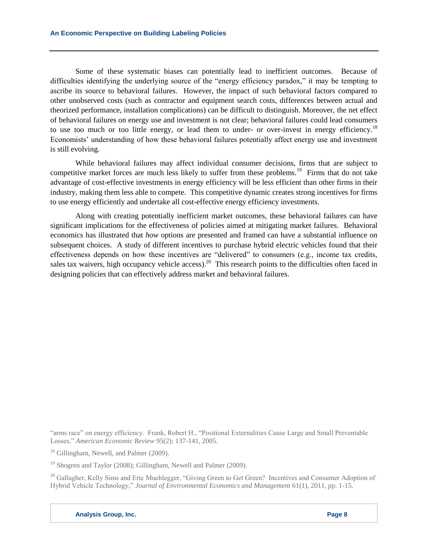Some of these systematic biases can potentially lead to inefficient outcomes. Because of difficulties identifying the underlying source of the "energy efficiency paradox," it may be tempting to ascribe its source to behavioral failures. However, the impact of such behavioral factors compared to other unobserved costs (such as contractor and equipment search costs, differences between actual and theorized performance, installation complications) can be difficult to distinguish. Moreover, the net effect of behavioral failures on energy use and investment is not clear; behavioral failures could lead consumers to use too much or too little energy, or lead them to under- or over-invest in energy efficiency.<sup>18</sup> Economists' understanding of how these behavioral failures potentially affect energy use and investment is still evolving.

While behavioral failures may affect individual consumer decisions, firms that are subject to competitive market forces are much less likely to suffer from these problems.<sup>19</sup> Firms that do not take advantage of cost-effective investments in energy efficiency will be less efficient than other firms in their industry, making them less able to compete. This competitive dynamic creates strong incentives for firms to use energy efficiently and undertake all cost-effective energy efficiency investments.

Along with creating potentially inefficient market outcomes, these behavioral failures can have significant implications for the effectiveness of policies aimed at mitigating market failures. Behavioral economics has illustrated that *how* options are presented and framed can have a substantial influence on subsequent choices. A study of different incentives to purchase hybrid electric vehicles found that their effectiveness depends on how these incentives are "delivered" to consumers (e.g., income tax credits, sales tax waivers, high occupancy vehicle access).<sup>20</sup> This research points to the difficulties often faced in designing policies that can effectively address market and behavioral failures.

"arms race" on energy efficiency. Frank, Robert H., "Positional Externalities Cause Large and Small Preventable Losses," *American Economic Review* 95(2): 137-141, 2005.

<sup>18</sup> Gillingham, Newell, and Palmer (2009).

<sup>19</sup> Shogren and Taylor (2008); Gillingham, Newell and Palmer (2009).

<sup>20</sup> Gallagher, Kelly Sims and Eric Muehlegger, "Giving Green to Get Green? Incentives and Consumer Adoption of Hybrid Vehicle Technology," *Journal of Environmental Economics and Management* 61(1), 2011, pp. 1-15.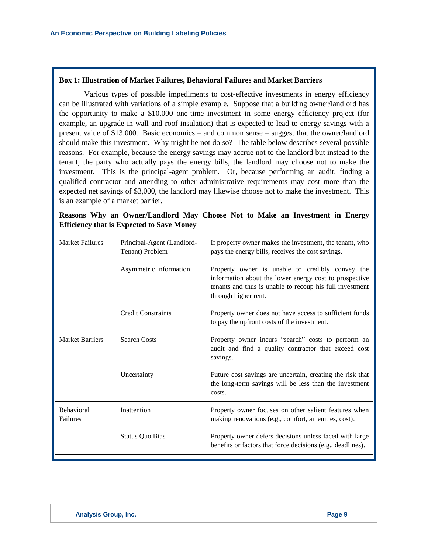# **Box 1: Illustration of Market Failures, Behavioral Failures and Market Barriers**

Various types of possible impediments to cost-effective investments in energy efficiency can be illustrated with variations of a simple example. Suppose that a building owner/landlord has the opportunity to make a \$10,000 one-time investment in some energy efficiency project (for example, an upgrade in wall and roof insulation) that is expected to lead to energy savings with a present value of \$13,000. Basic economics – and common sense – suggest that the owner/landlord should make this investment. Why might he not do so? The table below describes several possible reasons. For example, because the energy savings may accrue not to the landlord but instead to the tenant, the party who actually pays the energy bills, the landlord may choose not to make the investment. This is the principal-agent problem. Or, because performing an audit, finding a qualified contractor and attending to other administrative requirements may cost more than the expected net savings of \$3,000, the landlord may likewise choose not to make the investment. This is an example of a market barrier.

| <b>Market Failures</b><br>Principal-Agent (Landlord-<br>Tenant) Problem |                           | If property owner makes the investment, the tenant, who<br>pays the energy bills, receives the cost savings.                                                                                  |  |  |
|-------------------------------------------------------------------------|---------------------------|-----------------------------------------------------------------------------------------------------------------------------------------------------------------------------------------------|--|--|
|                                                                         | Asymmetric Information    | Property owner is unable to credibly convey the<br>information about the lower energy cost to prospective<br>tenants and thus is unable to recoup his full investment<br>through higher rent. |  |  |
|                                                                         | <b>Credit Constraints</b> | Property owner does not have access to sufficient funds<br>to pay the upfront costs of the investment.                                                                                        |  |  |
| <b>Market Barriers</b>                                                  | <b>Search Costs</b>       | Property owner incurs "search" costs to perform an<br>audit and find a quality contractor that exceed cost<br>savings.                                                                        |  |  |
|                                                                         | Uncertainty               | Future cost savings are uncertain, creating the risk that<br>the long-term savings will be less than the investment<br>costs.                                                                 |  |  |
| <b>Behavioral</b><br>Failures                                           | Inattention               | Property owner focuses on other salient features when<br>making renovations (e.g., comfort, amenities, cost).                                                                                 |  |  |
|                                                                         | <b>Status Quo Bias</b>    | Property owner defers decisions unless faced with large<br>benefits or factors that force decisions (e.g., deadlines).                                                                        |  |  |

**Reasons Why an Owner/Landlord May Choose Not to Make an Investment in Energy Efficiency that is Expected to Save Money**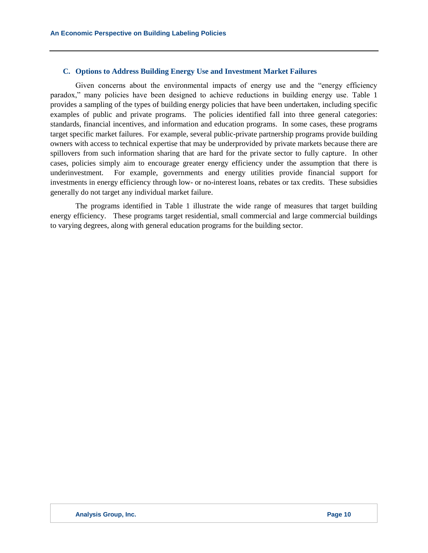#### **C. Options to Address Building Energy Use and Investment Market Failures**

Given concerns about the environmental impacts of energy use and the "energy efficiency paradox," many policies have been designed to achieve reductions in building energy use. Table 1 provides a sampling of the types of building energy policies that have been undertaken, including specific examples of public and private programs. The policies identified fall into three general categories: standards, financial incentives, and information and education programs. In some cases, these programs target specific market failures. For example, several public-private partnership programs provide building owners with access to technical expertise that may be underprovided by private markets because there are spillovers from such information sharing that are hard for the private sector to fully capture. In other cases, policies simply aim to encourage greater energy efficiency under the assumption that there is underinvestment. For example, governments and energy utilities provide financial support for investments in energy efficiency through low- or no-interest loans, rebates or tax credits. These subsidies generally do not target any individual market failure.

The programs identified in Table 1 illustrate the wide range of measures that target building energy efficiency. These programs target residential, small commercial and large commercial buildings to varying degrees, along with general education programs for the building sector.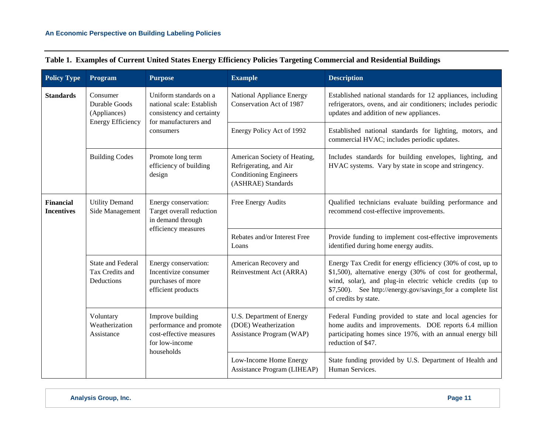| <b>Policy Type</b>                    | Program                                                                                                                                                                                                                                                                                          | <b>Purpose</b>                                                                                            | <b>Example</b>                                                                                                                                                                                                                                                               | <b>Description</b>                                                                                                                                                                                    |
|---------------------------------------|--------------------------------------------------------------------------------------------------------------------------------------------------------------------------------------------------------------------------------------------------------------------------------------------------|-----------------------------------------------------------------------------------------------------------|------------------------------------------------------------------------------------------------------------------------------------------------------------------------------------------------------------------------------------------------------------------------------|-------------------------------------------------------------------------------------------------------------------------------------------------------------------------------------------------------|
| <b>Standards</b>                      | Consumer<br>Durable Goods<br>(Appliances)                                                                                                                                                                                                                                                        | Uniform standards on a<br>national scale: Establish<br>consistency and certainty<br>for manufacturers and | National Appliance Energy<br>Conservation Act of 1987                                                                                                                                                                                                                        | Established national standards for 12 appliances, including<br>refrigerators, ovens, and air conditioners; includes periodic<br>updates and addition of new appliances.                               |
|                                       | <b>Energy Efficiency</b>                                                                                                                                                                                                                                                                         | consumers                                                                                                 | Energy Policy Act of 1992                                                                                                                                                                                                                                                    | Established national standards for lighting, motors, and<br>commercial HVAC; includes periodic updates.                                                                                               |
|                                       | <b>Building Codes</b>                                                                                                                                                                                                                                                                            | Promote long term<br>efficiency of building<br>design                                                     | American Society of Heating,<br>Refrigerating, and Air<br><b>Conditioning Engineers</b><br>(ASHRAE) Standards                                                                                                                                                                | Includes standards for building envelopes, lighting, and<br>HVAC systems. Vary by state in scope and stringency.                                                                                      |
| <b>Financial</b><br><b>Incentives</b> | <b>Utility Demand</b><br>Energy conservation:<br>Target overall reduction<br>Side Management<br>in demand through<br>efficiency measures<br><b>State and Federal</b><br>Energy conservation:<br>Incentivize consumer<br>Tax Credits and<br>Deductions<br>purchases of more<br>efficient products |                                                                                                           | Free Energy Audits                                                                                                                                                                                                                                                           | Qualified technicians evaluate building performance and<br>recommend cost-effective improvements.                                                                                                     |
|                                       |                                                                                                                                                                                                                                                                                                  |                                                                                                           | Rebates and/or Interest Free<br>Loans                                                                                                                                                                                                                                        | Provide funding to implement cost-effective improvements<br>identified during home energy audits.                                                                                                     |
|                                       |                                                                                                                                                                                                                                                                                                  | American Recovery and<br>Reinvestment Act (ARRA)                                                          | Energy Tax Credit for energy efficiency (30% of cost, up to<br>\$1,500), alternative energy (30% of cost for geothermal,<br>wind, solar), and plug-in electric vehicle credits (up to<br>\$7,500). See http://energy.gov/savings_for a complete list<br>of credits by state. |                                                                                                                                                                                                       |
|                                       | Voluntary<br>Weatherization<br>Assistance                                                                                                                                                                                                                                                        | Improve building<br>performance and promote<br>cost-effective measures<br>for low-income<br>households    | U.S. Department of Energy<br>(DOE) Weatherization<br>Assistance Program (WAP)                                                                                                                                                                                                | Federal Funding provided to state and local agencies for<br>home audits and improvements. DOE reports 6.4 million<br>participating homes since 1976, with an annual energy bill<br>reduction of \$47. |
|                                       |                                                                                                                                                                                                                                                                                                  |                                                                                                           | Low-Income Home Energy<br>Assistance Program (LIHEAP)                                                                                                                                                                                                                        | State funding provided by U.S. Department of Health and<br>Human Services.                                                                                                                            |

|  |  |  |  | Table 1. Examples of Current United States Energy Efficiency Policies Targeting Commercial and Residential Buildings |  |
|--|--|--|--|----------------------------------------------------------------------------------------------------------------------|--|
|  |  |  |  |                                                                                                                      |  |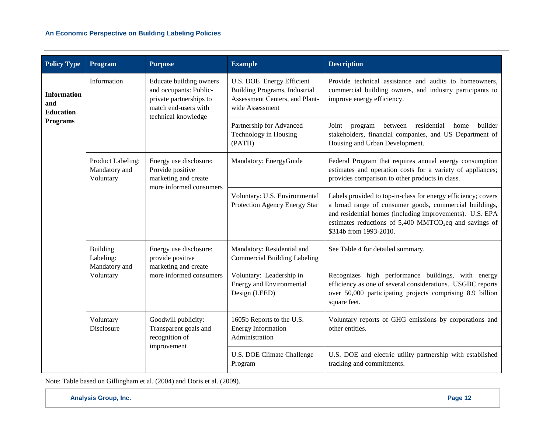# **An Economic Perspective on Building Labeling Policies**

| <b>Policy Type</b>                                           | Program                                                                       | <b>Purpose</b>                                                                                                              | <b>Example</b>                                                                                                                                                                                | <b>Description</b>                                                                                                                                                                                                                                                                  |
|--------------------------------------------------------------|-------------------------------------------------------------------------------|-----------------------------------------------------------------------------------------------------------------------------|-----------------------------------------------------------------------------------------------------------------------------------------------------------------------------------------------|-------------------------------------------------------------------------------------------------------------------------------------------------------------------------------------------------------------------------------------------------------------------------------------|
| Information<br><b>Information</b><br>and<br><b>Education</b> |                                                                               | Educate building owners<br>and occupants: Public-<br>private partnerships to<br>match end-users with<br>technical knowledge | U.S. DOE Energy Efficient<br><b>Building Programs, Industrial</b><br>Assessment Centers, and Plant-<br>wide Assessment                                                                        | Provide technical assistance and audits to homeowners,<br>commercial building owners, and industry participants to<br>improve energy efficiency.                                                                                                                                    |
| <b>Programs</b>                                              |                                                                               |                                                                                                                             | Partnership for Advanced<br>Technology in Housing<br>(PATH)                                                                                                                                   | residential<br>builder<br>Joint<br>program<br>between<br>home<br>stakeholders, financial companies, and US Department of<br>Housing and Urban Development.                                                                                                                          |
|                                                              | Product Labeling:<br>Mandatory and<br>Voluntary                               | Energy use disclosure:<br>Provide positive<br>marketing and create<br>more informed consumers                               | Mandatory: EnergyGuide                                                                                                                                                                        | Federal Program that requires annual energy consumption<br>estimates and operation costs for a variety of appliances;<br>provides comparison to other products in class.                                                                                                            |
|                                                              |                                                                               |                                                                                                                             | Voluntary: U.S. Environmental<br>Protection Agency Energy Star                                                                                                                                | Labels provided to top-in-class for energy efficiency; covers<br>a broad range of consumer goods, commercial buildings,<br>and residential homes (including improvements). U.S. EPA<br>estimates reductions of 5,400 MMTCO <sub>2</sub> eq and savings of<br>\$314b from 1993-2010. |
|                                                              | <b>Building</b><br>Labeling:                                                  | Energy use disclosure:<br>provide positive                                                                                  | Mandatory: Residential and<br><b>Commercial Building Labeling</b>                                                                                                                             | See Table 4 for detailed summary.                                                                                                                                                                                                                                                   |
|                                                              | marketing and create<br>Mandatory and<br>more informed consumers<br>Voluntary | Voluntary: Leadership in<br><b>Energy and Environmental</b><br>Design (LEED)                                                | Recognizes high performance buildings, with energy<br>efficiency as one of several considerations. USGBC reports<br>over 50,000 participating projects comprising 8.9 billion<br>square feet. |                                                                                                                                                                                                                                                                                     |
|                                                              | Voluntary<br>Disclosure                                                       | Goodwill publicity:<br>Transparent goals and<br>recognition of                                                              | 1605b Reports to the U.S.<br><b>Energy Information</b><br>Administration                                                                                                                      | Voluntary reports of GHG emissions by corporations and<br>other entities.                                                                                                                                                                                                           |
|                                                              | improvement                                                                   |                                                                                                                             | U.S. DOE Climate Challenge<br>Program                                                                                                                                                         | U.S. DOE and electric utility partnership with established<br>tracking and commitments.                                                                                                                                                                                             |

Note: Table based on Gillingham et al. (2004) and Doris et al. (2009).

**Analysis Group, Inc. Page 12**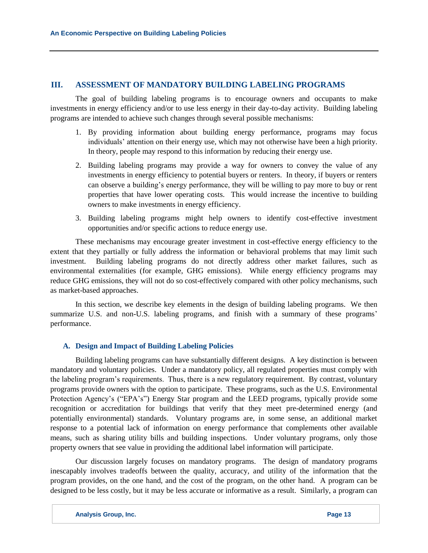# **III. ASSESSMENT OF MANDATORY BUILDING LABELING PROGRAMS**

The goal of building labeling programs is to encourage owners and occupants to make investments in energy efficiency and/or to use less energy in their day-to-day activity. Building labeling programs are intended to achieve such changes through several possible mechanisms:

- 1. By providing information about building energy performance, programs may focus individuals' attention on their energy use, which may not otherwise have been a high priority. In theory, people may respond to this information by reducing their energy use.
- 2. Building labeling programs may provide a way for owners to convey the value of any investments in energy efficiency to potential buyers or renters. In theory, if buyers or renters can observe a building's energy performance, they will be willing to pay more to buy or rent properties that have lower operating costs. This would increase the incentive to building owners to make investments in energy efficiency.
- 3. Building labeling programs might help owners to identify cost-effective investment opportunities and/or specific actions to reduce energy use.

These mechanisms may encourage greater investment in cost-effective energy efficiency to the extent that they partially or fully address the information or behavioral problems that may limit such investment. Building labeling programs do not directly address other market failures, such as environmental externalities (for example, GHG emissions). While energy efficiency programs may reduce GHG emissions, they will not do so cost-effectively compared with other policy mechanisms, such as market-based approaches.

In this section, we describe key elements in the design of building labeling programs. We then summarize U.S. and non-U.S. labeling programs, and finish with a summary of these programs' performance.

#### **A. Design and Impact of Building Labeling Policies**

Building labeling programs can have substantially different designs. A key distinction is between mandatory and voluntary policies. Under a mandatory policy, all regulated properties must comply with the labeling program's requirements. Thus, there is a new regulatory requirement. By contrast, voluntary programs provide owners with the option to participate. These programs, such as the U.S. Environmental Protection Agency's ("EPA's") Energy Star program and the LEED programs, typically provide some recognition or accreditation for buildings that verify that they meet pre-determined energy (and potentially environmental) standards. Voluntary programs are, in some sense, an additional market response to a potential lack of information on energy performance that complements other available means, such as sharing utility bills and building inspections. Under voluntary programs, only those property owners that see value in providing the additional label information will participate.

Our discussion largely focuses on mandatory programs. The design of mandatory programs inescapably involves tradeoffs between the quality, accuracy, and utility of the information that the program provides, on the one hand, and the cost of the program, on the other hand. A program can be designed to be less costly, but it may be less accurate or informative as a result. Similarly, a program can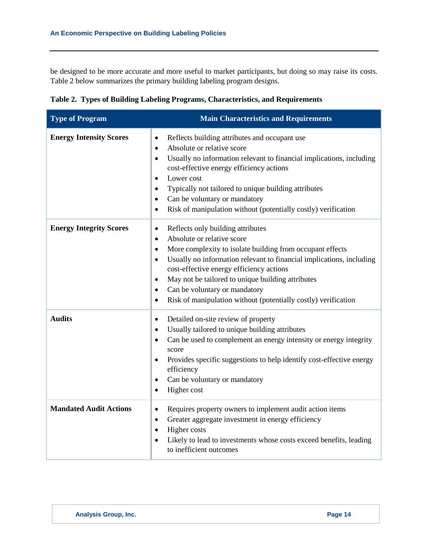be designed to be more accurate and more useful to market participants, but doing so may raise its costs. Table 2 below summarizes the primary building labeling program designs.

| <b>Type of Program</b>         | <b>Main Characteristics and Requirements</b>                                                                                                                                                                                                                                                                                                                                                                                                                                           |
|--------------------------------|----------------------------------------------------------------------------------------------------------------------------------------------------------------------------------------------------------------------------------------------------------------------------------------------------------------------------------------------------------------------------------------------------------------------------------------------------------------------------------------|
| <b>Energy Intensity Scores</b> | Reflects building attributes and occupant use<br>$\bullet$<br>Absolute or relative score<br>$\bullet$<br>Usually no information relevant to financial implications, including<br>$\bullet$<br>cost-effective energy efficiency actions<br>Lower cost<br>$\bullet$<br>Typically not tailored to unique building attributes<br>Can be voluntary or mandatory<br>$\bullet$<br>Risk of manipulation without (potentially costly) verification                                              |
| <b>Energy Integrity Scores</b> | Reflects only building attributes<br>$\bullet$<br>Absolute or relative score<br>$\bullet$<br>More complexity to isolate building from occupant effects<br>Usually no information relevant to financial implications, including<br>$\bullet$<br>cost-effective energy efficiency actions<br>May not be tailored to unique building attributes<br>$\bullet$<br>Can be voluntary or mandatory<br>$\bullet$<br>Risk of manipulation without (potentially costly) verification<br>$\bullet$ |
| <b>Audits</b>                  | Detailed on-site review of property<br>$\bullet$<br>Usually tailored to unique building attributes<br>$\bullet$<br>Can be used to complement an energy intensity or energy integrity<br>$\bullet$<br>score<br>Provides specific suggestions to help identify cost-effective energy<br>efficiency<br>Can be voluntary or mandatory<br>$\bullet$<br>Higher cost<br>$\bullet$                                                                                                             |
| <b>Mandated Audit Actions</b>  | Requires property owners to implement audit action items<br>$\bullet$<br>Greater aggregate investment in energy efficiency<br>$\bullet$<br>Higher costs<br>Likely to lead to investments whose costs exceed benefits, leading<br>to inefficient outcomes                                                                                                                                                                                                                               |

**Table 2. Types of Building Labeling Programs, Characteristics, and Requirements**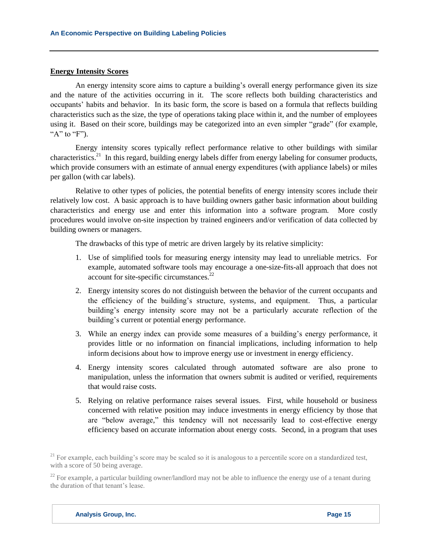#### **Energy Intensity Scores**

An energy intensity score aims to capture a building's overall energy performance given its size and the nature of the activities occurring in it. The score reflects both building characteristics and occupants' habits and behavior. In its basic form, the score is based on a formula that reflects building characteristics such as the size, the type of operations taking place within it, and the number of employees using it. Based on their score, buildings may be categorized into an even simpler "grade" (for example, " $A$ " to " $F$ ").

Energy intensity scores typically reflect performance relative to other buildings with similar characteristics.<sup>21</sup> In this regard, building energy labels differ from energy labeling for consumer products, which provide consumers with an estimate of annual energy expenditures (with appliance labels) or miles per gallon (with car labels).

Relative to other types of policies, the potential benefits of energy intensity scores include their relatively low cost. A basic approach is to have building owners gather basic information about building characteristics and energy use and enter this information into a software program. More costly procedures would involve on-site inspection by trained engineers and/or verification of data collected by building owners or managers.

The drawbacks of this type of metric are driven largely by its relative simplicity:

- 1. Use of simplified tools for measuring energy intensity may lead to unreliable metrics. For example, automated software tools may encourage a one-size-fits-all approach that does not account for site-specific circumstances.<sup>22</sup>
- 2. Energy intensity scores do not distinguish between the behavior of the current occupants and the efficiency of the building's structure, systems, and equipment. Thus, a particular building's energy intensity score may not be a particularly accurate reflection of the building's current or potential energy performance.
- 3. While an energy index can provide some measures of a building's energy performance, it provides little or no information on financial implications, including information to help inform decisions about how to improve energy use or investment in energy efficiency.
- 4. Energy intensity scores calculated through automated software are also prone to manipulation, unless the information that owners submit is audited or verified, requirements that would raise costs.
- 5. Relying on relative performance raises several issues. First, while household or business concerned with relative position may induce investments in energy efficiency by those that are "below average," this tendency will not necessarily lead to cost-effective energy efficiency based on accurate information about energy costs. Second, in a program that uses

 $21$  For example, each building's score may be scaled so it is analogous to a percentile score on a standardized test, with a score of 50 being average.

 $22$  For example, a particular building owner/landlord may not be able to influence the energy use of a tenant during the duration of that tenant's lease.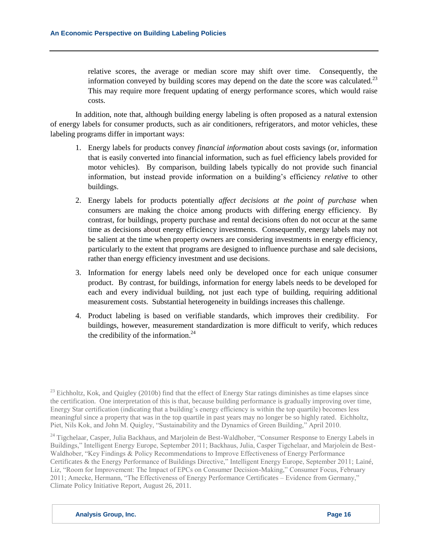relative scores, the average or median score may shift over time. Consequently, the information conveyed by building scores may depend on the date the score was calculated.<sup>23</sup> This may require more frequent updating of energy performance scores, which would raise costs.

In addition, note that, although building energy labeling is often proposed as a natural extension of energy labels for consumer products, such as air conditioners, refrigerators, and motor vehicles, these labeling programs differ in important ways:

- 1. Energy labels for products convey *financial information* about costs savings (or, information that is easily converted into financial information, such as fuel efficiency labels provided for motor vehicles). By comparison, building labels typically do not provide such financial information, but instead provide information on a building's efficiency *relative* to other buildings.
- 2. Energy labels for products potentially *affect decisions at the point of purchase* when consumers are making the choice among products with differing energy efficiency. By contrast, for buildings, property purchase and rental decisions often do not occur at the same time as decisions about energy efficiency investments. Consequently, energy labels may not be salient at the time when property owners are considering investments in energy efficiency, particularly to the extent that programs are designed to influence purchase and sale decisions, rather than energy efficiency investment and use decisions.
- 3. Information for energy labels need only be developed once for each unique consumer product. By contrast, for buildings, information for energy labels needs to be developed for each and every individual building, not just each type of building, requiring additional measurement costs. Substantial heterogeneity in buildings increases this challenge.
- 4. Product labeling is based on verifiable standards, which improves their credibility. For buildings, however, measurement standardization is more difficult to verify, which reduces the credibility of the information. $^{24}$

 $^{23}$  Eichholtz. Kok, and Quigley (2010b) find that the effect of Energy Star ratings diminishes as time elapses since the certification. One interpretation of this is that, because building performance is gradually improving over time, Energy Star certification (indicating that a building's energy efficiency is within the top quartile) becomes less meaningful since a property that was in the top quartile in past years may no longer be so highly rated. Eichholtz, Piet, Nils Kok, and John M. Quigley, "Sustainability and the Dynamics of Green Building," April 2010.

<sup>24</sup> Tigchelaar, Casper, Julia Backhaus, and Marjolein de Best-Waldhober, "Consumer Response to Energy Labels in Buildings," Intelligent Energy Europe, September 2011; Backhaus, Julia, Casper Tigchelaar, and Marjolein de Best-Waldhober, "Key Findings & Policy Recommendations to Improve Effectiveness of Energy Performance Certificates & the Energy Performance of Buildings Directive," Intelligent Energy Europe, September 2011; Lainé, Liz, "Room for Improvement: The Impact of EPCs on Consumer Decision-Making," Consumer Focus, February 2011; Amecke, Hermann, "The Effectiveness of Energy Performance Certificates – Evidence from Germany," Climate Policy Initiative Report, August 26, 2011.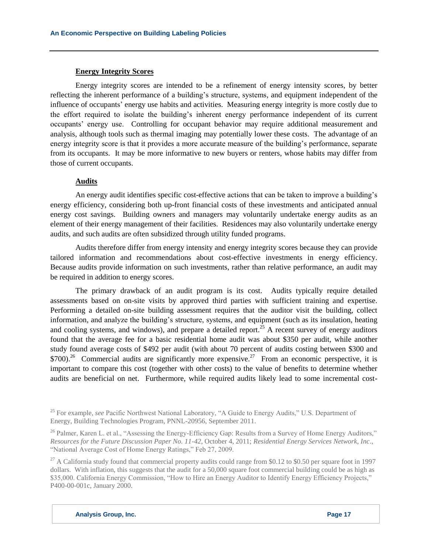# **Energy Integrity Scores**

Energy integrity scores are intended to be a refinement of energy intensity scores, by better reflecting the inherent performance of a building's structure, systems, and equipment independent of the influence of occupants' energy use habits and activities. Measuring energy integrity is more costly due to the effort required to isolate the building's inherent energy performance independent of its current occupants' energy use. Controlling for occupant behavior may require additional measurement and analysis, although tools such as thermal imaging may potentially lower these costs. The advantage of an energy integrity score is that it provides a more accurate measure of the building's performance, separate from its occupants. It may be more informative to new buyers or renters, whose habits may differ from those of current occupants.

# **Audits**

An energy audit identifies specific cost-effective actions that can be taken to improve a building's energy efficiency, considering both up-front financial costs of these investments and anticipated annual energy cost savings. Building owners and managers may voluntarily undertake energy audits as an element of their energy management of their facilities. Residences may also voluntarily undertake energy audits, and such audits are often subsidized through utility funded programs.

Audits therefore differ from energy intensity and energy integrity scores because they can provide tailored information and recommendations about cost-effective investments in energy efficiency. Because audits provide information on such investments, rather than relative performance, an audit may be required in addition to energy scores.

The primary drawback of an audit program is its cost. Audits typically require detailed assessments based on on-site visits by approved third parties with sufficient training and expertise. Performing a detailed on-site building assessment requires that the auditor visit the building, collect information, and analyze the building's structure, systems, and equipment (such as its insulation, heating and cooling systems, and windows), and prepare a detailed report.<sup>25</sup> A recent survey of energy auditors found that the average fee for a basic residential home audit was about \$350 per audit, while another study found average costs of \$492 per audit (with about 70 percent of audits costing between \$300 and  $$700$ .<sup>26</sup> Commercial audits are significantly more expensive.<sup>27</sup> From an economic perspective, it is important to compare this cost (together with other costs) to the value of benefits to determine whether audits are beneficial on net. Furthermore, while required audits likely lead to some incremental cost-

<sup>&</sup>lt;sup>25</sup> For example, *see* Pacific Northwest National Laboratory, "A Guide to Energy Audits," U.S. Department of Energy, Building Technologies Program, PNNL-20956, September 2011.

<sup>&</sup>lt;sup>26</sup> Palmer, Karen L. et al., "Assessing the Energy-Efficiency Gap: Results from a Survey of Home Energy Auditors," *Resources for the Future Discussion Paper No. 11-42*, October 4, 2011; *Residential Energy Services Network, Inc*., "National Average Cost of Home Energy Ratings," Feb 27, 2009.

<sup>&</sup>lt;sup>27</sup> A California study found that commercial property audits could range from \$0.12 to \$0.50 per square foot in 1997 dollars. With inflation, this suggests that the audit for a 50,000 square foot commercial building could be as high as \$35,000. California Energy Commission, "How to Hire an Energy Auditor to Identify Energy Efficiency Projects," P400-00-001c, January 2000.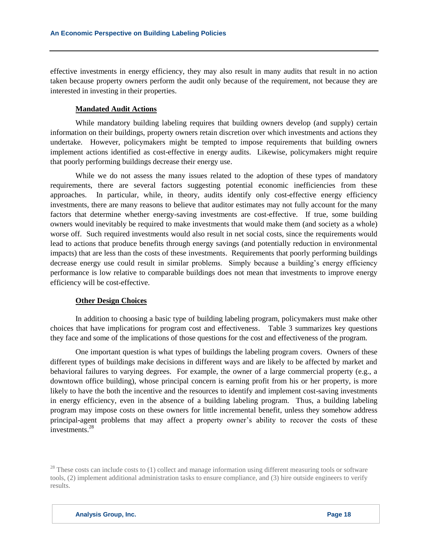effective investments in energy efficiency, they may also result in many audits that result in no action taken because property owners perform the audit only because of the requirement, not because they are interested in investing in their properties.

## **Mandated Audit Actions**

While mandatory building labeling requires that building owners develop (and supply) certain information on their buildings, property owners retain discretion over which investments and actions they undertake. However, policymakers might be tempted to impose requirements that building owners implement actions identified as cost-effective in energy audits. Likewise, policymakers might require that poorly performing buildings decrease their energy use.

While we do not assess the many issues related to the adoption of these types of mandatory requirements, there are several factors suggesting potential economic inefficiencies from these approaches. In particular, while, in theory, audits identify only cost-effective energy efficiency investments, there are many reasons to believe that auditor estimates may not fully account for the many factors that determine whether energy-saving investments are cost-effective. If true, some building owners would inevitably be required to make investments that would make them (and society as a whole) worse off. Such required investments would also result in net social costs, since the requirements would lead to actions that produce benefits through energy savings (and potentially reduction in environmental impacts) that are less than the costs of these investments. Requirements that poorly performing buildings decrease energy use could result in similar problems. Simply because a building's energy efficiency performance is low relative to comparable buildings does not mean that investments to improve energy efficiency will be cost-effective.

#### **Other Design Choices**

In addition to choosing a basic type of building labeling program, policymakers must make other choices that have implications for program cost and effectiveness. Table 3 summarizes key questions they face and some of the implications of those questions for the cost and effectiveness of the program.

One important question is what types of buildings the labeling program covers. Owners of these different types of buildings make decisions in different ways and are likely to be affected by market and behavioral failures to varying degrees. For example, the owner of a large commercial property (e.g., a downtown office building), whose principal concern is earning profit from his or her property, is more likely to have the both the incentive and the resources to identify and implement cost-saving investments in energy efficiency, even in the absence of a building labeling program. Thus, a building labeling program may impose costs on these owners for little incremental benefit, unless they somehow address principal-agent problems that may affect a property owner's ability to recover the costs of these investments. 28

<sup>&</sup>lt;sup>28</sup> These costs can include costs to  $(1)$  collect and manage information using different measuring tools or software tools, (2) implement additional administration tasks to ensure compliance, and (3) hire outside engineers to verify results.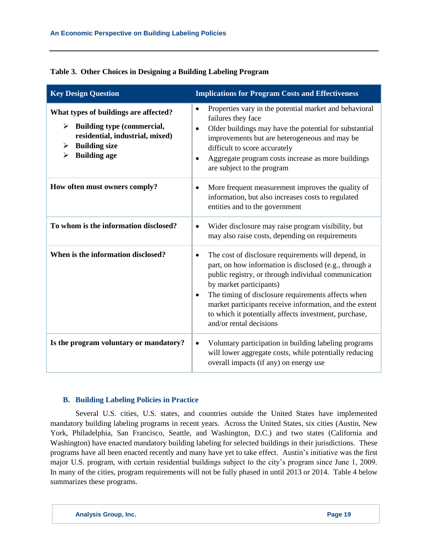|  |  |  |  | Table 3. Other Choices in Designing a Building Labeling Program |
|--|--|--|--|-----------------------------------------------------------------|
|  |  |  |  |                                                                 |

| <b>Key Design Question</b>                                                                                                                                           | <b>Implications for Program Costs and Effectiveness</b>                                                                                                                                                                                                                                                                                                                                               |
|----------------------------------------------------------------------------------------------------------------------------------------------------------------------|-------------------------------------------------------------------------------------------------------------------------------------------------------------------------------------------------------------------------------------------------------------------------------------------------------------------------------------------------------------------------------------------------------|
| What types of buildings are affected?<br>Building type (commercial,<br>≻<br>residential, industrial, mixed)<br><b>Building size</b><br>➤<br><b>Building age</b><br>➤ | Properties vary in the potential market and behavioral<br>failures they face<br>Older buildings may have the potential for substantial<br>improvements but are heterogeneous and may be<br>difficult to score accurately<br>Aggregate program costs increase as more buildings<br>$\bullet$<br>are subject to the program                                                                             |
| How often must owners comply?                                                                                                                                        | More frequent measurement improves the quality of<br>information, but also increases costs to regulated<br>entities and to the government                                                                                                                                                                                                                                                             |
| To whom is the information disclosed?                                                                                                                                | Wider disclosure may raise program visibility, but<br>may also raise costs, depending on requirements                                                                                                                                                                                                                                                                                                 |
| When is the information disclosed?                                                                                                                                   | The cost of disclosure requirements will depend, in<br>part, on how information is disclosed (e.g., through a<br>public registry, or through individual communication<br>by market participants)<br>The timing of disclosure requirements affects when<br>market participants receive information, and the extent<br>to which it potentially affects investment, purchase,<br>and/or rental decisions |
| Is the program voluntary or mandatory?                                                                                                                               | Voluntary participation in building labeling programs<br>$\bullet$<br>will lower aggregate costs, while potentially reducing<br>overall impacts (if any) on energy use                                                                                                                                                                                                                                |

## **B. Building Labeling Policies in Practice**

Several U.S. cities, U.S. states, and countries outside the United States have implemented mandatory building labeling programs in recent years. Across the United States, six cities (Austin, New York, Philadelphia, San Francisco, Seattle, and Washington, D.C.) and two states (California and Washington) have enacted mandatory building labeling for selected buildings in their jurisdictions. These programs have all been enacted recently and many have yet to take effect. Austin's initiative was the first major U.S. program, with certain residential buildings subject to the city's program since June 1, 2009. In many of the cities, program requirements will not be fully phased in until 2013 or 2014. Table 4 below summarizes these programs.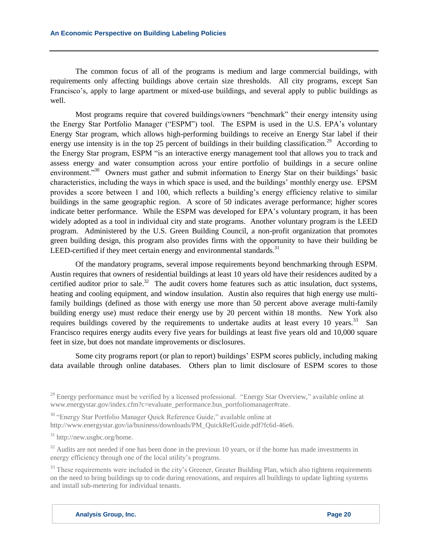The common focus of all of the programs is medium and large commercial buildings, with requirements only affecting buildings above certain size thresholds. All city programs, except San Francisco's, apply to large apartment or mixed-use buildings, and several apply to public buildings as well.

Most programs require that covered buildings/owners "benchmark" their energy intensity using the Energy Star Portfolio Manager ("ESPM") tool. The ESPM is used in the U.S. EPA's voluntary Energy Star program, which allows high-performing buildings to receive an Energy Star label if their energy use intensity is in the top 25 percent of buildings in their building classification.<sup>29</sup> According to the Energy Star program, ESPM "is an interactive energy management tool that allows you to track and assess energy and water consumption across your entire portfolio of buildings in a secure online environment."<sup>30</sup> Owners must gather and submit information to Energy Star on their buildings' basic characteristics, including the ways in which space is used, and the buildings' monthly energy use. EPSM provides a score between 1 and 100, which reflects a building's energy efficiency relative to similar buildings in the same geographic region. A score of 50 indicates average performance; higher scores indicate better performance. While the ESPM was developed for EPA's voluntary program, it has been widely adopted as a tool in individual city and state programs. Another voluntary program is the LEED program. Administered by the U.S. Green Building Council, a non-profit organization that promotes green building design, this program also provides firms with the opportunity to have their building be LEED-certified if they meet certain energy and environmental standards. $31$ 

Of the mandatory programs, several impose requirements beyond benchmarking through ESPM. Austin requires that owners of residential buildings at least 10 years old have their residences audited by a certified auditor prior to sale.<sup>32</sup> The audit covers home features such as attic insulation, duct systems, heating and cooling equipment, and window insulation. Austin also requires that high energy use multifamily buildings (defined as those with energy use more than 50 percent above average multi-family building energy use) must reduce their energy use by 20 percent within 18 months. New York also requires buildings covered by the requirements to undertake audits at least every 10 years.<sup>33</sup> San Francisco requires energy audits every five years for buildings at least five years old and 10,000 square feet in size, but does not mandate improvements or disclosures.

Some city programs report (or plan to report) buildings' ESPM scores publicly, including making data available through online databases. Others plan to limit disclosure of ESPM scores to those

<sup>30</sup> "Energy Star Portfolio Manager Quick Reference Guide," available online at

http://www.energystar.gov/ia/business/downloads/PM\_QuickRefGuide.pdf?fc6d-46e6.

 $32$  Audits are not needed if one has been done in the previous 10 years, or if the home has made investments in energy efficiency through one of the local utility's programs.

<sup>33</sup> These requirements were included in the city's Greener, Greater Building Plan, which also tightens requirements on the need to bring buildings up to code during renovations, and requires all buildings to update lighting systems and install sub-metering for individual tenants.

<sup>&</sup>lt;sup>29</sup> Energy performance must be verified by a licensed professional. "Energy Star Overview," available online at [www.energystar.gov/index.cfm?c=evaluate\\_performance.bus\\_portfoliomanager#rate.](http://www.energystar.gov/index.cfm?c=evaluate_performance.bus_portfoliomanager#rate)

<sup>31</sup> http://new.usgbc.org/home.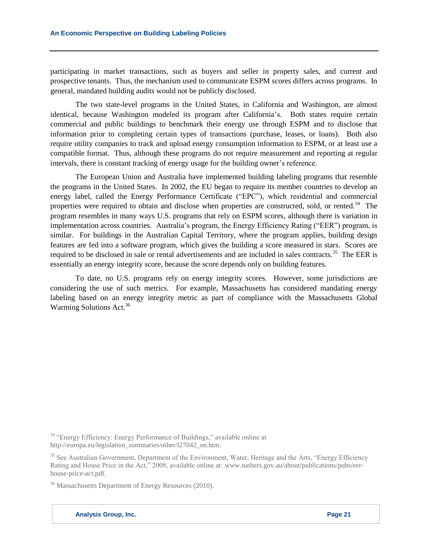participating in market transactions, such as buyers and seller in property sales, and current and prospective tenants. Thus, the mechanism used to communicate ESPM scores differs across programs. In general, mandated building audits would not be publicly disclosed.

The two state-level programs in the United States, in California and Washington, are almost identical, because Washington modeled its program after California's. Both states require certain commercial and public buildings to benchmark their energy use through ESPM and to disclose that information prior to completing certain types of transactions (purchase, leases, or loans). Both also require utility companies to track and upload energy consumption information to ESPM, or at least use a compatible format. Thus, although these programs do not require measurement and reporting at regular intervals, there is constant tracking of energy usage for the building owner's reference.

The European Union and Australia have implemented building labeling programs that resemble the programs in the United States. In 2002, the EU began to require its member countries to develop an energy label, called the Energy Performance Certificate ("EPC"), which residential and commercial properties were required to obtain and disclose when properties are constructed, sold, or rented.<sup>34</sup> The program resembles in many ways U.S. programs that rely on ESPM scores, although there is variation in implementation across countries. Australia's program, the Energy Efficiency Rating ("EER") program, is similar. For buildings in the Australian Capital Territory, where the program applies, building design features are fed into a software program, which gives the building a score measured in stars. Scores are required to be disclosed in sale or rental advertisements and are included in sales contracts.<sup>35</sup> The EER is essentially an energy integrity score, because the score depends only on building features.

To date, no U.S. programs rely on energy integrity scores. However, some jurisdictions are considering the use of such metrics. For example, Massachusetts has considered mandating energy labeling based on an energy integrity metric as part of compliance with the Massachusetts Global Warming Solutions Act.<sup>36</sup>

<sup>34</sup> "Energy Efficiency: Energy Performance of Buildings," available online at http://europa.eu/legislation\_summaries/other/l27042\_en.htm.

<sup>35</sup> See Australian Government, Department of the Environment, Water, Heritage and the Arts, "Energy Efficiency Rating and House Price in the Act," 2008, available online at: www.nathers.gov.au/about/publications/pubs/eerhouse-price-act.pdf.

<sup>36</sup> Massachusetts Department of Energy Resources (2010).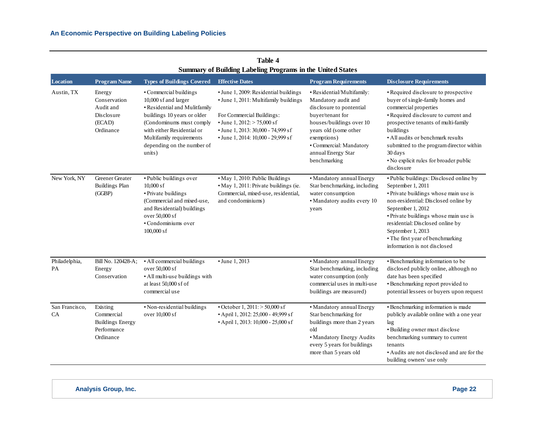|                      |                                                                               |                                                                                                                                                                                                                                              | Summary of Dunung Labeling I regrams in the United States                                                                                                                                                                         |                                                                                                                                                                                                                                        |                                                                                                                                                                                                                                                                                                                                                   |
|----------------------|-------------------------------------------------------------------------------|----------------------------------------------------------------------------------------------------------------------------------------------------------------------------------------------------------------------------------------------|-----------------------------------------------------------------------------------------------------------------------------------------------------------------------------------------------------------------------------------|----------------------------------------------------------------------------------------------------------------------------------------------------------------------------------------------------------------------------------------|---------------------------------------------------------------------------------------------------------------------------------------------------------------------------------------------------------------------------------------------------------------------------------------------------------------------------------------------------|
| <b>Location</b>      | <b>Program Name</b>                                                           | <b>Types of Buildings Covered</b>                                                                                                                                                                                                            | <b>Effective Dates</b>                                                                                                                                                                                                            | <b>Program Requirements</b>                                                                                                                                                                                                            | <b>Disclosure Requirements</b>                                                                                                                                                                                                                                                                                                                    |
| Austin, TX           | Energy<br>Conservation<br>Audit and<br>Disclosure<br>(ECAD)<br>Ordinance      | • Commercial buildings<br>10,000 sf and larger<br>• Residential and Mulitfamily<br>buildings 10 years or older<br>(Condominums must comply<br>with either Residential or<br>Multifamily requirements<br>depending on the number of<br>units) | · June 1, 2009: Residential buildings<br>• June 1, 2011: Multifamily buildings<br>For Commercial Buildings:<br>• June 1, $2012$ : $> 75,000$ sf<br>• June 1, 2013: 30,000 - 74,999 sf<br>$\cdot$ June 1, 2014: 10,000 - 29,999 sf | · Residential/Multifamily:<br>Mandatory audit and<br>disclosure to pontential<br>buyer/tenant for<br>houses/buildings over 10<br>years old (some other<br>exemptions)<br>• Commercial: Mandatory<br>annual Energy Star<br>benchmarking | • Required disclosure to prospective<br>buyer of single-family homes and<br>commercial properties<br>• Required disclosure to current and<br>prospective tenants of multi-family<br>buildings<br>• All audits or benchmark results<br>submitted to the program director within<br>30 days<br>• No explicit rules for broader public<br>disclosure |
| New York, NY         | Greener Greater<br><b>Buildings Plan</b><br>(GGBP)                            | · Public buildings over<br>$10,000$ sf<br>• Private buildings<br>(Commercial and mixed-use,<br>and Residential) buildings<br>over 50,000 sf<br>• Condominiums over<br>$100,000$ sf                                                           | · May 1, 2010: Public Buildings<br>• May 1, 2011: Private buildings (ie.<br>Commercial, mixed-use, residential,<br>and condominiums)                                                                                              | • Mandatory annual Energy<br>Star benchmarking, including<br>water consumption<br>• Mandatory audits every 10<br>years                                                                                                                 | · Public buildings: Disclosed online by<br>September 1, 2011<br>· Private buildings whose main use is<br>non-residential: Disclosed online by<br>September 1, 2012<br>• Private buildings whose main use is<br>residential: Disclosed online by<br>September 1, 2013<br>• The first year of benchmarking<br>information is not disclosed          |
| Philadelphia,<br>PA  | Bill No. 120428-A;<br>Energy<br>Conservation                                  | · All commercial buildings<br>over 50,000 sf<br>• All multi-use buildings with<br>at least 50,000 sf of<br>commercial use                                                                                                                    | • June 1, 2013                                                                                                                                                                                                                    | • Mandatory annual Energy<br>Star benchmarking, including<br>water consumption (only<br>commercial uses in multi-use<br>buildings are measured)                                                                                        | · Benchmarking information to be<br>disclosed publicly online, although no<br>date has been specified<br>· Benchmarking report provided to<br>potential lessees or buyers upon request                                                                                                                                                            |
| San Francisco,<br>CA | Existing<br>Commercial<br><b>Buildings Energy</b><br>Performance<br>Ordinance | · Non-residential buildings<br>over 10,000 sf                                                                                                                                                                                                | $\cdot$ October 1, 2011: $>$ 50,000 sf<br>• April 1, 2012: 25,000 - 49,999 sf<br>• April 1, 2013: 10,000 - 25,000 sf                                                                                                              | • Mandatory annual Energy<br>Star benchmarking for<br>buildings more than 2 years<br>old<br>· Mandatory Energy Audits<br>every 5 years for buildings<br>more than 5 years old                                                          | · Benchmarking information is made<br>publicly available online with a one year<br>lag<br>· Building owner must disclose<br>benchmarking summary to current<br>tenants<br>• Audits are not disclosed and are for the<br>building owners' use only                                                                                                 |

**Table 4 Summary of Building Labeling Programs in the United States**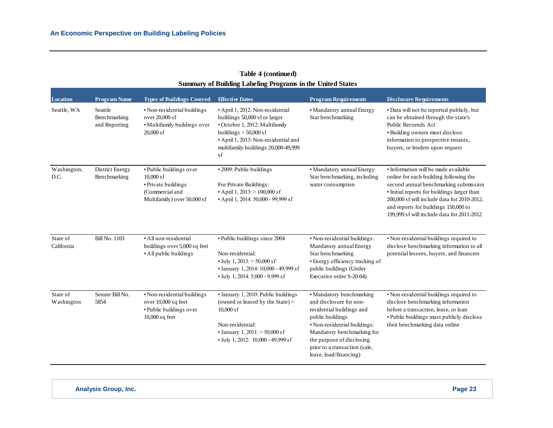|                        | <b>Summary of Building Labeling Programs in the United States</b> |                                                                                                                 |                                                                                                                                                                                                                     |                                                                                                                                                                                                                                                            |                                                                                                                                                                                                                                                                                                             |  |
|------------------------|-------------------------------------------------------------------|-----------------------------------------------------------------------------------------------------------------|---------------------------------------------------------------------------------------------------------------------------------------------------------------------------------------------------------------------|------------------------------------------------------------------------------------------------------------------------------------------------------------------------------------------------------------------------------------------------------------|-------------------------------------------------------------------------------------------------------------------------------------------------------------------------------------------------------------------------------------------------------------------------------------------------------------|--|
| <b>Location</b>        | <b>Program Name</b>                                               | <b>Types of Buildings Covered</b>                                                                               | <b>Effective Dates</b>                                                                                                                                                                                              | <b>Program Requirements</b>                                                                                                                                                                                                                                | <b>Disclosure Requirements</b>                                                                                                                                                                                                                                                                              |  |
| Seattle, WA            | Seattle<br>Benchmarking<br>and Reporting                          | • Non-residential buildings<br>over 20,000 sf<br>· Multifamily buildings over<br>$20,000$ sf                    | · April 1, 2012: Non-residential<br>buildings 50,000 sf or larger<br>• October 1, 2012: Multifamily<br>buildings $> 50,000$ sf<br>• April 1, 2013: Non-residential and<br>multifamily buildings 20,000-49,999<br>sf | · Mandatory annual Energy<br>Star benchmarking                                                                                                                                                                                                             | • Data will not be reported publicly, but<br>can be obtained through the state's<br>Public Recornds Act<br>• Building owners must disclose<br>information to prospective tenants,<br>buyers, or lenders upon request                                                                                        |  |
| Washington,<br>D.C.    | District Energy<br>Benchmarking                                   | • Public buildings over<br>$10,000$ sf<br>• Private buildings<br>(Commercial and<br>Multifamily) over 50,000 sf | • 2009: Public buildings<br>For Private Buildings:<br>• April 1, 2013: $> 100,000$ sf<br>• April 1, 2014: 50,000 - 99,999 sf                                                                                        | • Mandatory annual Energy<br>Star benchmarking, including<br>water consumption                                                                                                                                                                             | • Information will be made available<br>online for each building following the<br>second annual benchmarking submission<br>• Initial reports for buildings larger than<br>200,000 sf will include data for 2010-2012,<br>and reports for buildings 150,000 to<br>199,999 sf will include data for 2011-2012 |  |
| State of<br>California | <b>Bill No. 1103</b>                                              | · All non-residential<br>buildings over 5,000 sq feet<br>• All public buildings                                 | • Public buildings since 2004<br>Non-residential:<br>$\cdot$ July 1, 2013: $>$ 50,000 sf<br>• January 1, 2014: 10,000 - 49,999 sf<br>$\cdot$ July 1, 2014: 5,000 - 9,999 sf                                         | · Non-residential buildings:<br>Mandatory annual Energy<br>Star benchmarking<br>• Energy efficiency tracking of<br>public buildings (Under<br>Executive order S-20-04)                                                                                     | • Non-residential buildings required to<br>disclose benchmarking information to all<br>potential lessees, buyers, and financers                                                                                                                                                                             |  |
| State of<br>Washington | Senate Bill No.<br>5854                                           | • Non-residential buildings<br>over 10,000 sq feet<br>• Public buildings over<br>$10,000$ sq feet               | • January 1, 2010: Public buildings<br>(owned or leased by the State) ><br>$10,000$ sf<br>Non-residential:<br>• January 1, $2011$ : $> 50,000$ sf<br>• July 1, 2012: 10,000 - 49,999 sf                             | • Mandatory benchmarking<br>and disclosure for non-<br>residential buildings and<br>public buildings<br>· Non-residential buildings:<br>Mandatory benchmarking for<br>the purpose of disclosing<br>prior to a transaction (sale,<br>lease, load/financing) | · Non-residential buildings required to<br>disclose benchmarking information<br>before a transaction, lease, or loan<br>• Public buildings must publicly disclose<br>their benchmarking data online                                                                                                         |  |

# **Table 4 (continued)**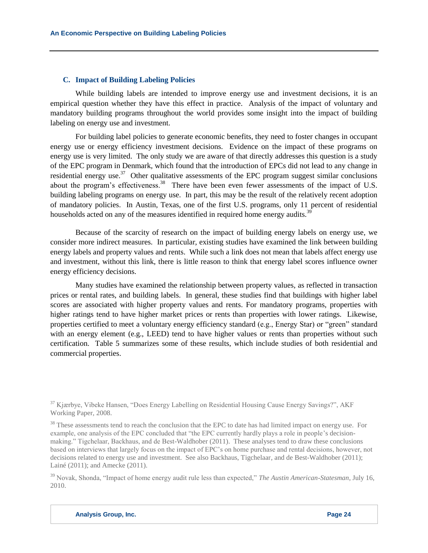#### **C. Impact of Building Labeling Policies**

While building labels are intended to improve energy use and investment decisions, it is an empirical question whether they have this effect in practice. Analysis of the impact of voluntary and mandatory building programs throughout the world provides some insight into the impact of building labeling on energy use and investment.

For building label policies to generate economic benefits, they need to foster changes in occupant energy use or energy efficiency investment decisions. Evidence on the impact of these programs on energy use is very limited. The only study we are aware of that directly addresses this question is a study of the EPC program in Denmark, which found that the introduction of EPCs did not lead to any change in residential energy use.<sup>37</sup> Other qualitative assessments of the EPC program suggest similar conclusions about the program's effectiveness.<sup>38</sup> There have been even fewer assessments of the impact of U.S. building labeling programs on energy use. In part, this may be the result of the relatively recent adoption of mandatory policies. In Austin, Texas, one of the first U.S. programs, only 11 percent of residential households acted on any of the measures identified in required home energy audits.<sup>39</sup>

Because of the scarcity of research on the impact of building energy labels on energy use, we consider more indirect measures. In particular, existing studies have examined the link between building energy labels and property values and rents. While such a link does not mean that labels affect energy use and investment, without this link, there is little reason to think that energy label scores influence owner energy efficiency decisions.

Many studies have examined the relationship between property values, as reflected in transaction prices or rental rates, and building labels. In general, these studies find that buildings with higher label scores are associated with higher property values and rents. For mandatory programs, properties with higher ratings tend to have higher market prices or rents than properties with lower ratings. Likewise, properties certified to meet a voluntary energy efficiency standard (e.g., Energy Star) or "green" standard with an energy element (e.g., LEED) tend to have higher values or rents than properties without such certification. Table 5 summarizes some of these results, which include studies of both residential and commercial properties.

<sup>39</sup> Novak, Shonda, "Impact of home energy audit rule less than expected," *The Austin American-Statesman*, July 16, 2010.

<sup>37</sup> Kjærbye, Vibeke Hansen, "Does Energy Labelling on Residential Housing Cause Energy Savings?", AKF Working Paper, 2008.

 $38$  These assessments tend to reach the conclusion that the EPC to date has had limited impact on energy use. For example, one analysis of the EPC concluded that "the EPC currently hardly plays a role in people's decisionmaking." Tigchelaar, Backhaus, and de Best-Waldhober (2011). These analyses tend to draw these conclusions based on interviews that largely focus on the impact of EPC's on home purchase and rental decisions, however, not decisions related to energy use and investment. See also Backhaus, Tigchelaar, and de Best-Waldhober (2011); Lainé (2011); and Amecke (2011).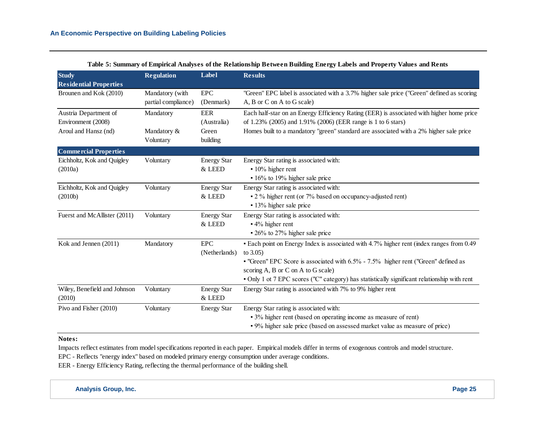| <b>Study</b>                  | <b>Regulation</b>   | Label              | <b>Results</b>                                                                               |
|-------------------------------|---------------------|--------------------|----------------------------------------------------------------------------------------------|
| <b>Residential Properties</b> |                     |                    |                                                                                              |
| Brounen and Kok (2010)        | Mandatory (with     | <b>EPC</b>         | "Green" EPC label is associated with a 3.7% higher sale price ("Green" defined as scoring    |
|                               | partial compliance) | (Denmark)          | A, B or C on A to G scale)                                                                   |
| Austria Department of         | Mandatory           | <b>EER</b>         | Each half-star on an Energy Efficiency Rating (EER) is associated with higher home price     |
| Environment (2008)            |                     | (Australia)        | of 1.23% (2005) and 1.91% (2006) (EER range is 1 to 6 stars)                                 |
| Aroul and Hansz (nd)          | Mandatory &         | Green              | Homes built to a mandatory "green" standard are associated with a 2% higher sale price       |
|                               | Voluntary           | building           |                                                                                              |
| <b>Commercial Properties</b>  |                     |                    |                                                                                              |
| Eichholtz, Kok and Quigley    | Voluntary           | <b>Energy Star</b> | Energy Star rating is associated with:                                                       |
| (2010a)                       |                     | & LEED             | • 10% higher rent                                                                            |
|                               |                     |                    | • 16% to 19% higher sale price                                                               |
| Eichholtz, Kok and Quigley    | Voluntary           | <b>Energy Star</b> | Energy Star rating is associated with:                                                       |
| (2010b)                       |                     | & LEED             | • 2 % higher rent (or 7% based on occupancy-adjusted rent)                                   |
|                               |                     |                    | • 13% higher sale price                                                                      |
| Fuerst and McAllister (2011)  | Voluntary           | <b>Energy Star</b> | Energy Star rating is associated with:                                                       |
|                               |                     | & LEED             | - 4% higher rent                                                                             |
|                               |                     |                    | • 26% to 27% higher sale price                                                               |
| Kok and Jennen (2011)         | Mandatory           | <b>EPC</b>         | • Each point on Energy Index is associated with 4.7% higher rent (index ranges from 0.49     |
|                               |                     | (Netherlands)      | to $3.05$ )                                                                                  |
|                               |                     |                    | • "Green" EPC Score is associated with 6.5% - 7.5% higher rent ("Green" defined as           |
|                               |                     |                    | scoring A, B or C on A to G scale)                                                           |
|                               |                     |                    | . Only 1 ot 7 EPC scores ("C" category) has statistically significant relationship with rent |
| Wiley, Benefield and Johnson  | Voluntary           | <b>Energy Star</b> | Energy Star rating is associated with 7% to 9% higher rent                                   |
| (2010)                        |                     | & LEED             |                                                                                              |
| Pivo and Fisher (2010)        | Voluntary           | <b>Energy Star</b> | Energy Star rating is associated with:                                                       |
|                               |                     |                    | • 3% higher rent (based on operating income as measure of rent)                              |
|                               |                     |                    | . 9% higher sale price (based on assessed market value as measure of price)                  |

## **Table 5: Summary of Empirical Analyses of the Relationship Between Building Energy Labels and Property Values and Rents**

#### **Notes:**

Impacts reflect estimates from model specifications reported in each paper. Empirical models differ in terms of exogenous controls and model structure.

EPC - Reflects "energy index" based on modeled primary energy consumption under average conditions.

EER - Energy Efficiency Rating, reflecting the thermal performance of the building shell.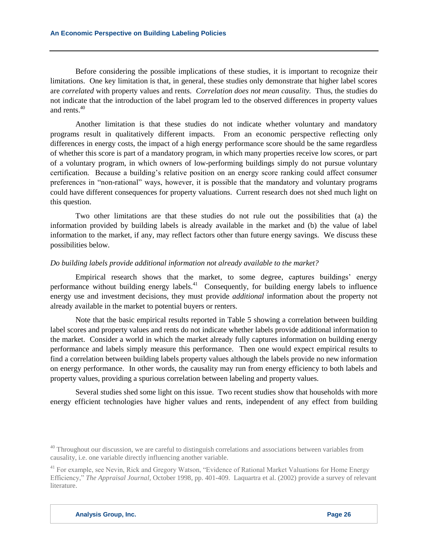Before considering the possible implications of these studies, it is important to recognize their limitations. One key limitation is that, in general, these studies only demonstrate that higher label scores are *correlated* with property values and rents. *Correlation does not mean causality.* Thus, the studies do not indicate that the introduction of the label program led to the observed differences in property values and rents.<sup>40</sup>

Another limitation is that these studies do not indicate whether voluntary and mandatory programs result in qualitatively different impacts. From an economic perspective reflecting only differences in energy costs, the impact of a high energy performance score should be the same regardless of whether this score is part of a mandatory program, in which many properties receive low scores, or part of a voluntary program, in which owners of low-performing buildings simply do not pursue voluntary certification. Because a building's relative position on an energy score ranking could affect consumer preferences in "non-rational" ways, however, it is possible that the mandatory and voluntary programs could have different consequences for property valuations. Current research does not shed much light on this question.

Two other limitations are that these studies do not rule out the possibilities that (a) the information provided by building labels is already available in the market and (b) the value of label information to the market, if any, may reflect factors other than future energy savings. We discuss these possibilities below.

#### *Do building labels provide additional information not already available to the market?*

Empirical research shows that the market, to some degree, captures buildings' energy performance without building energy labels.<sup>41</sup> Consequently, for building energy labels to influence energy use and investment decisions, they must provide *additional* information about the property not already available in the market to potential buyers or renters.

Note that the basic empirical results reported in Table 5 showing a correlation between building label scores and property values and rents do not indicate whether labels provide additional information to the market. Consider a world in which the market already fully captures information on building energy performance and labels simply measure this performance. Then one would expect empirical results to find a correlation between building labels property values although the labels provide no new information on energy performance. In other words, the causality may run from energy efficiency to both labels and property values, providing a spurious correlation between labeling and property values.

Several studies shed some light on this issue. Two recent studies show that households with more energy efficient technologies have higher values and rents, independent of any effect from building

 $40$  Throughout our discussion, we are careful to distinguish correlations and associations between variables from causality, i.e. one variable directly influencing another variable.

<sup>&</sup>lt;sup>41</sup> For example, see Nevin, Rick and Gregory Watson, "Evidence of Rational Market Valuations for Home Energy Efficiency," *The Appraisal Journal*, October 1998, pp. 401-409. Laquartra et al. (2002) provide a survey of relevant literature.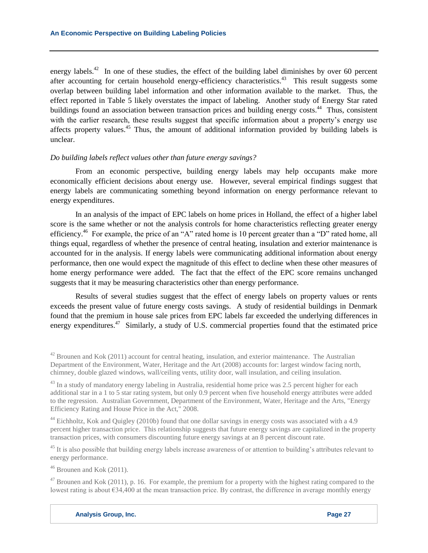energy labels.<sup>42</sup> In one of these studies, the effect of the building label diminishes by over 60 percent after accounting for certain household energy-efficiency characteristics.<sup>43</sup> This result suggests some overlap between building label information and other information available to the market. Thus, the effect reported in Table 5 likely overstates the impact of labeling. Another study of Energy Star rated buildings found an association between transaction prices and building energy costs.<sup>44</sup> Thus, consistent with the earlier research, these results suggest that specific information about a property's energy use affects property values.<sup>45</sup> Thus, the amount of additional information provided by building labels is unclear.

## *Do building labels reflect values other than future energy savings?*

From an economic perspective, building energy labels may help occupants make more economically efficient decisions about energy use. However, several empirical findings suggest that energy labels are communicating something beyond information on energy performance relevant to energy expenditures.

In an analysis of the impact of EPC labels on home prices in Holland, the effect of a higher label score is the same whether or not the analysis controls for home characteristics reflecting greater energy efficiency.<sup>46</sup> For example, the price of an "A" rated home is 10 percent greater than a "D" rated home, all things equal, regardless of whether the presence of central heating, insulation and exterior maintenance is accounted for in the analysis. If energy labels were communicating additional information about energy performance, then one would expect the magnitude of this effect to decline when these other measures of home energy performance were added. The fact that the effect of the EPC score remains unchanged suggests that it may be measuring characteristics other than energy performance.

Results of several studies suggest that the effect of energy labels on property values or rents exceeds the present value of future energy costs savings. A study of residential buildings in Denmark found that the premium in house sale prices from EPC labels far exceeded the underlying differences in energy expenditures.<sup>47</sup> Similarly, a study of U.S. commercial properties found that the estimated price

<sup>44</sup> Eichholtz, Kok and Quigley (2010b) found that one dollar savings in energy costs was associated with a 4.9 percent higher transaction price. This relationship suggests that future energy savings are capitalized in the property transaction prices, with consumers discounting future energy savings at an 8 percent discount rate.

<sup>45</sup> It is also possible that building energy labels increase awareness of or attention to building's attributes relevant to energy performance.

 $46$  Brounen and Kok (2011).

 $47$  Brounen and Kok (2011), p. 16. For example, the premium for a property with the highest rating compared to the lowest rating is about €34,400 at the mean transaction price. By contrast, the difference in average monthly energy

 $^{42}$  Brounen and Kok (2011) account for central heating, insulation, and exterior maintenance. The Australian Department of the Environment, Water, Heritage and the Art (2008) accounts for: largest window facing north, chimney, double glazed windows, wall/ceiling vents, utility door, wall insulation, and ceiling insulation.

 $^{43}$  In a study of mandatory energy labeling in Australia, residential home price was 2.5 percent higher for each additional star in a 1 to 5 star rating system, but only 0.9 percent when five household energy attributes were added to the regression. Australian Government, Department of the Environment, Water, Heritage and the Arts, "Energy Efficiency Rating and House Price in the Act," 2008.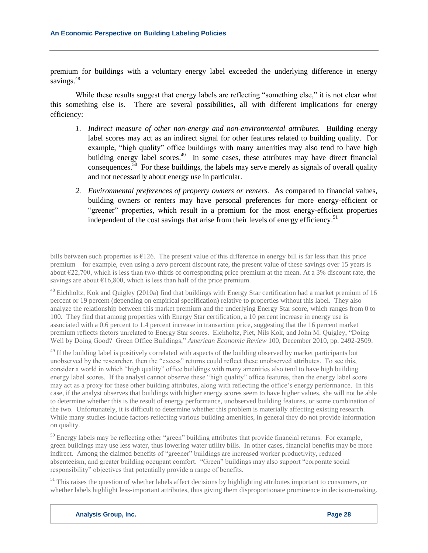premium for buildings with a voluntary energy label exceeded the underlying difference in energy savings.<sup>48</sup>

While these results suggest that energy labels are reflecting "something else," it is not clear what this something else is. There are several possibilities, all with different implications for energy efficiency:

- *1. Indirect measure of other non-energy and non-environmental attributes.* Building energy label scores may act as an indirect signal for other features related to building quality. For example, "high quality" office buildings with many amenities may also tend to have high building energy label scores.<sup>49</sup> In some cases, these attributes may have direct financial consequences.<sup>50</sup> For these buildings, the labels may serve merely as signals of overall quality and not necessarily about energy use in particular.
- *2. Environmental preferences of property owners or renters.* As compared to financial values, building owners or renters may have personal preferences for more energy-efficient or "greener" properties, which result in a premium for the most energy-efficient properties independent of the cost savings that arise from their levels of energy efficiency.<sup>51</sup>

bills between such properties is  $\epsilon$ 126. The present value of this difference in energy bill is far less than this price premium – for example, even using a *zero* percent discount rate, the present value of these savings over 15 years is about €22,700, which is less than two-thirds of corresponding price premium at the mean. At a 3% discount rate, the savings are about  $\epsilon$ 16,800, which is less than half of the price premium.

 $48$  Eichholtz, Kok and Ouigley (2010a) find that buildings with Energy Star certification had a market premium of 16 percent or 19 percent (depending on empirical specification) relative to properties without this label. They also analyze the relationship between this market premium and the underlying Energy Star score, which ranges from 0 to 100. They find that among properties with Energy Star certification, a 10 percent increase in energy use is associated with a 0.6 percent to 1.4 percent increase in transaction price, suggesting that the 16 percent market premium reflects factors unrelated to Energy Star scores. Eichholtz, Piet, Nils Kok, and John M. Quigley, "Doing Well by Doing Good? Green Office Buildings," *American Economic Review* 100, December 2010, pp. 2492-2509.

<sup>49</sup> If the building label is positively correlated with aspects of the building observed by market participants but unobserved by the researcher, then the "excess" returns could reflect these unobserved attributes. To see this, consider a world in which "high quality" office buildings with many amenities also tend to have high building energy label scores. If the analyst cannot observe these "high quality" office features, then the energy label score may act as a proxy for these other building attributes, along with reflecting the office's energy performance. In this case, if the analyst observes that buildings with higher energy scores seem to have higher values, she will not be able to determine whether this is the result of energy performance, unobserved building features, or some combination of the two. Unfortunately, it is difficult to determine whether this problem is materially affecting existing research. While many studies include factors reflecting various building amenities, in general they do not provide information on quality.

<sup>50</sup> Energy labels may be reflecting other "green" building attributes that provide financial returns. For example, green buildings may use less water, thus lowering water utility bills. In other cases, financial benefits may be more indirect. Among the claimed benefits of "greener" buildings are increased worker productivity, reduced absenteeism, and greater building occupant comfort. "Green" buildings may also support "corporate social responsibility" objectives that potentially provide a range of benefits.

 $<sup>51</sup>$  This raises the question of whether labels affect decisions by highlighting attributes important to consumers, or</sup> whether labels highlight less-important attributes, thus giving them disproportionate prominence in decision-making.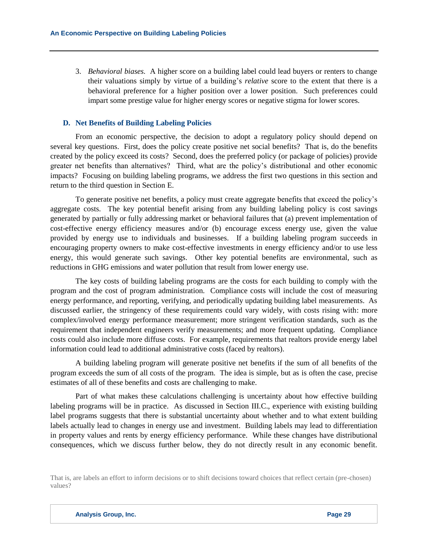3. *Behavioral biases.* A higher score on a building label could lead buyers or renters to change their valuations simply by virtue of a building's *relative* score to the extent that there is a behavioral preference for a higher position over a lower position. Such preferences could impart some prestige value for higher energy scores or negative stigma for lower scores.

#### **D. Net Benefits of Building Labeling Policies**

From an economic perspective, the decision to adopt a regulatory policy should depend on several key questions. First, does the policy create positive net social benefits? That is, do the benefits created by the policy exceed its costs? Second, does the preferred policy (or package of policies) provide greater net benefits than alternatives? Third, what are the policy's distributional and other economic impacts? Focusing on building labeling programs, we address the first two questions in this section and return to the third question in Section E.

To generate positive net benefits, a policy must create aggregate benefits that exceed the policy's aggregate costs. The key potential benefit arising from any building labeling policy is cost savings generated by partially or fully addressing market or behavioral failures that (a) prevent implementation of cost-effective energy efficiency measures and/or (b) encourage excess energy use, given the value provided by energy use to individuals and businesses. If a building labeling program succeeds in encouraging property owners to make cost-effective investments in energy efficiency and/or to use less energy, this would generate such savings. Other key potential benefits are environmental, such as reductions in GHG emissions and water pollution that result from lower energy use.

The key costs of building labeling programs are the costs for each building to comply with the program and the cost of program administration. Compliance costs will include the cost of measuring energy performance, and reporting, verifying, and periodically updating building label measurements. As discussed earlier, the stringency of these requirements could vary widely, with costs rising with: more complex/involved energy performance measurement; more stringent verification standards, such as the requirement that independent engineers verify measurements; and more frequent updating. Compliance costs could also include more diffuse costs. For example, requirements that realtors provide energy label information could lead to additional administrative costs (faced by realtors).

A building labeling program will generate positive net benefits if the sum of all benefits of the program exceeds the sum of all costs of the program. The idea is simple, but as is often the case, precise estimates of all of these benefits and costs are challenging to make.

Part of what makes these calculations challenging is uncertainty about how effective building labeling programs will be in practice. As discussed in Section III.C., experience with existing building label programs suggests that there is substantial uncertainty about whether and to what extent building labels actually lead to changes in energy use and investment. Building labels may lead to differentiation in property values and rents by energy efficiency performance. While these changes have distributional consequences, which we discuss further below, they do not directly result in any economic benefit.

That is, are labels an effort to inform decisions or to shift decisions toward choices that reflect certain (pre-chosen) values?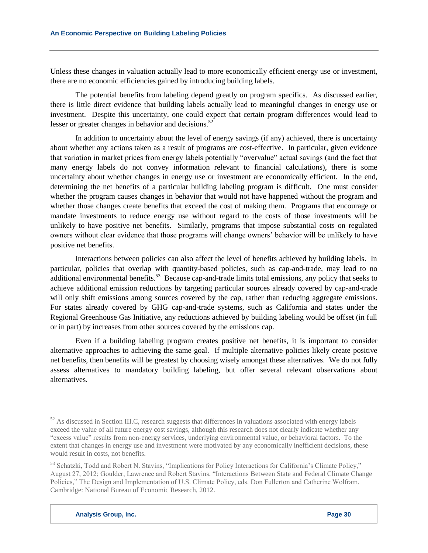Unless these changes in valuation actually lead to more economically efficient energy use or investment, there are no economic efficiencies gained by introducing building labels.

The potential benefits from labeling depend greatly on program specifics. As discussed earlier, there is little direct evidence that building labels actually lead to meaningful changes in energy use or investment. Despite this uncertainty, one could expect that certain program differences would lead to lesser or greater changes in behavior and decisions. $52$ 

In addition to uncertainty about the level of energy savings (if any) achieved, there is uncertainty about whether any actions taken as a result of programs are cost-effective. In particular, given evidence that variation in market prices from energy labels potentially "overvalue" actual savings (and the fact that many energy labels do not convey information relevant to financial calculations), there is some uncertainty about whether changes in energy use or investment are economically efficient. In the end, determining the net benefits of a particular building labeling program is difficult. One must consider whether the program causes changes in behavior that would not have happened without the program and whether those changes create benefits that exceed the cost of making them. Programs that encourage or mandate investments to reduce energy use without regard to the costs of those investments will be unlikely to have positive net benefits. Similarly, programs that impose substantial costs on regulated owners without clear evidence that those programs will change owners' behavior will be unlikely to have positive net benefits.

Interactions between policies can also affect the level of benefits achieved by building labels. In particular, policies that overlap with quantity-based policies, such as cap-and-trade, may lead to no additional environmental benefits.<sup>53</sup> Because cap-and-trade limits total emissions, any policy that seeks to achieve additional emission reductions by targeting particular sources already covered by cap-and-trade will only shift emissions among sources covered by the cap, rather than reducing aggregate emissions. For states already covered by GHG cap-and-trade systems, such as California and states under the Regional Greenhouse Gas Initiative, any reductions achieved by building labeling would be offset (in full or in part) by increases from other sources covered by the emissions cap.

Even if a building labeling program creates positive net benefits, it is important to consider alternative approaches to achieving the same goal. If multiple alternative policies likely create positive net benefits, then benefits will be greatest by choosing wisely amongst these alternatives. We do not fully assess alternatives to mandatory building labeling, but offer several relevant observations about alternatives.

 $52$  As discussed in Section III.C, research suggests that differences in valuations associated with energy labels exceed the value of all future energy cost savings, although this research does not clearly indicate whether any "excess value" results from non-energy services, underlying environmental value, or behavioral factors. To the extent that changes in energy use and investment were motivated by any economically inefficient decisions, these would result in costs, not benefits.

<sup>53</sup> Schatzki, Todd and Robert N. Stavins, "Implications for Policy Interactions for California's Climate Policy," August 27, 2012; Goulder, Lawrence and Robert Stavins, "Interactions Between State and Federal Climate Change Policies," The Design and Implementation of U.S. Climate Policy, eds. Don Fullerton and Catherine Wolfram. Cambridge: National Bureau of Economic Research, 2012.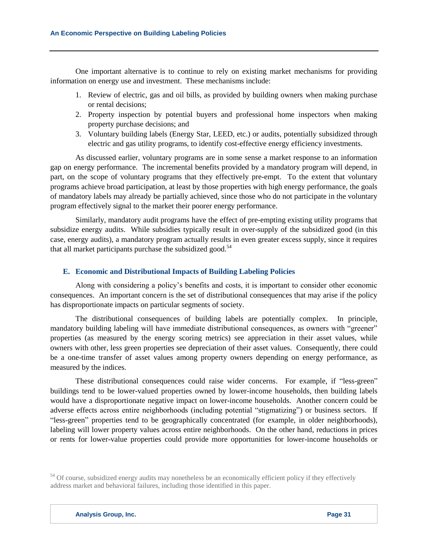One important alternative is to continue to rely on existing market mechanisms for providing information on energy use and investment. These mechanisms include:

- 1. Review of electric, gas and oil bills, as provided by building owners when making purchase or rental decisions;
- 2. Property inspection by potential buyers and professional home inspectors when making property purchase decisions; and
- 3. Voluntary building labels (Energy Star, LEED, etc.) or audits, potentially subsidized through electric and gas utility programs, to identify cost-effective energy efficiency investments.

As discussed earlier, voluntary programs are in some sense a market response to an information gap on energy performance. The incremental benefits provided by a mandatory program will depend, in part, on the scope of voluntary programs that they effectively pre-empt. To the extent that voluntary programs achieve broad participation, at least by those properties with high energy performance, the goals of mandatory labels may already be partially achieved, since those who do not participate in the voluntary program effectively signal to the market their poorer energy performance.

Similarly, mandatory audit programs have the effect of pre-empting existing utility programs that subsidize energy audits. While subsidies typically result in over-supply of the subsidized good (in this case, energy audits), a mandatory program actually results in even greater excess supply, since it requires that all market participants purchase the subsidized good. $54$ 

#### **E. Economic and Distributional Impacts of Building Labeling Policies**

Along with considering a policy's benefits and costs, it is important to consider other economic consequences. An important concern is the set of distributional consequences that may arise if the policy has disproportionate impacts on particular segments of society.

The distributional consequences of building labels are potentially complex. In principle, mandatory building labeling will have immediate distributional consequences, as owners with "greener" properties (as measured by the energy scoring metrics) see appreciation in their asset values, while owners with other, less green properties see depreciation of their asset values. Consequently, there could be a one-time transfer of asset values among property owners depending on energy performance, as measured by the indices.

These distributional consequences could raise wider concerns. For example, if "less-green" buildings tend to be lower-valued properties owned by lower-income households, then building labels would have a disproportionate negative impact on lower-income households. Another concern could be adverse effects across entire neighborhoods (including potential "stigmatizing") or business sectors. If "less-green" properties tend to be geographically concentrated (for example, in older neighborhoods), labeling will lower property values across entire neighborhoods. On the other hand, reductions in prices or rents for lower-value properties could provide more opportunities for lower-income households or

<sup>&</sup>lt;sup>54</sup> Of course, subsidized energy audits may nonetheless be an economically efficient policy if they effectively address market and behavioral failures, including those identified in this paper.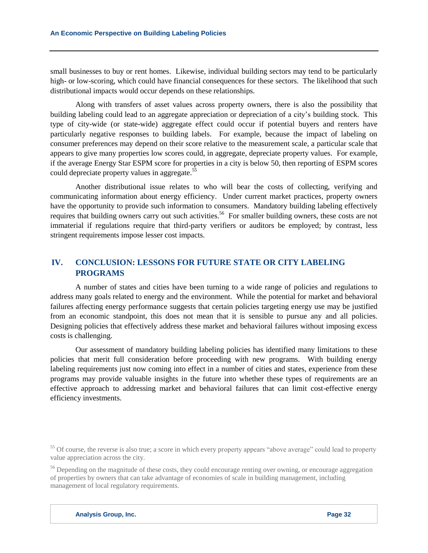small businesses to buy or rent homes. Likewise, individual building sectors may tend to be particularly high- or low-scoring, which could have financial consequences for these sectors. The likelihood that such distributional impacts would occur depends on these relationships.

Along with transfers of asset values across property owners, there is also the possibility that building labeling could lead to an aggregate appreciation or depreciation of a city's building stock. This type of city-wide (or state-wide) aggregate effect could occur if potential buyers and renters have particularly negative responses to building labels. For example, because the impact of labeling on consumer preferences may depend on their score relative to the measurement scale, a particular scale that appears to give many properties low scores could, in aggregate, depreciate property values. For example, if the average Energy Star ESPM score for properties in a city is below 50, then reporting of ESPM scores could depreciate property values in aggregate.<sup>55</sup>

Another distributional issue relates to who will bear the costs of collecting, verifying and communicating information about energy efficiency. Under current market practices, property owners have the opportunity to provide such information to consumers. Mandatory building labeling effectively requires that building owners carry out such activities.<sup>56</sup> For smaller building owners, these costs are not immaterial if regulations require that third-party verifiers or auditors be employed; by contrast, less stringent requirements impose lesser cost impacts.

# **IV. CONCLUSION: LESSONS FOR FUTURE STATE OR CITY LABELING PROGRAMS**

A number of states and cities have been turning to a wide range of policies and regulations to address many goals related to energy and the environment. While the potential for market and behavioral failures affecting energy performance suggests that certain policies targeting energy use may be justified from an economic standpoint, this does not mean that it is sensible to pursue any and all policies. Designing policies that effectively address these market and behavioral failures without imposing excess costs is challenging.

Our assessment of mandatory building labeling policies has identified many limitations to these policies that merit full consideration before proceeding with new programs. With building energy labeling requirements just now coming into effect in a number of cities and states, experience from these programs may provide valuable insights in the future into whether these types of requirements are an effective approach to addressing market and behavioral failures that can limit cost-effective energy efficiency investments.

 $55$  Of course, the reverse is also true; a score in which every property appears "above average" could lead to property value appreciation across the city.

<sup>&</sup>lt;sup>56</sup> Depending on the magnitude of these costs, they could encourage renting over owning, or encourage aggregation of properties by owners that can take advantage of economies of scale in building management, including management of local regulatory requirements.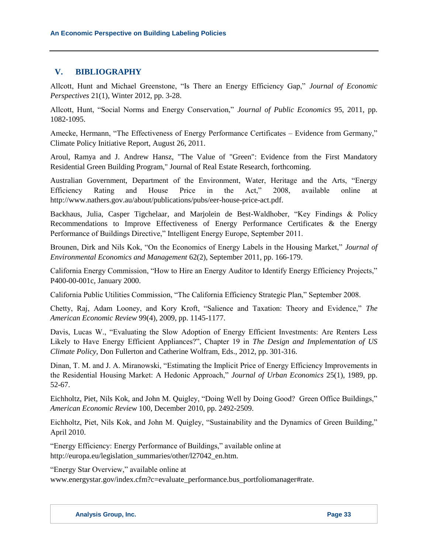# **V. BIBLIOGRAPHY**

Allcott, Hunt and Michael Greenstone, "Is There an Energy Efficiency Gap," *Journal of Economic Perspectives* 21(1), Winter 2012, pp. 3-28.

Allcott, Hunt, "Social Norms and Energy Conservation," *Journal of Public Economics* 95, 2011, pp. 1082-1095.

Amecke, Hermann, "The Effectiveness of Energy Performance Certificates – Evidence from Germany," Climate Policy Initiative Report, August 26, 2011.

Aroul, Ramya and J. Andrew Hansz, "The Value of "Green": Evidence from the First Mandatory Residential Green Building Program," Journal of Real Estate Research, forthcoming.

Australian Government, Department of the Environment, Water, Heritage and the Arts, "Energy Efficiency Rating and House Price in the Act," 2008, available online at http://www.nathers.gov.au/about/publications/pubs/eer-house-price-act.pdf.

Backhaus, Julia, Casper Tigchelaar, and Marjolein de Best-Waldhober, "Key Findings & Policy Recommendations to Improve Effectiveness of Energy Performance Certificates & the Energy Performance of Buildings Directive," Intelligent Energy Europe, September 2011.

Brounen, Dirk and Nils Kok, "On the Economics of Energy Labels in the Housing Market," *Journal of Environmental Economics and Management* 62(2), September 2011, pp. 166-179.

California Energy Commission, "How to Hire an Energy Auditor to Identify Energy Efficiency Projects," P400-00-001c, January 2000.

California Public Utilities Commission, "The California Efficiency Strategic Plan," September 2008.

Chetty, Raj, Adam Looney, and Kory Kroft, "Salience and Taxation: Theory and Evidence," *The American Economic Review* 99(4), 2009, pp. 1145-1177.

Davis, Lucas W., "Evaluating the Slow Adoption of Energy Efficient Investments: Are Renters Less Likely to Have Energy Efficient Appliances?", Chapter 19 in *The Design and Implementation of US Climate Policy*, Don Fullerton and Catherine Wolfram, Eds., 2012, pp. 301-316.

Dinan, T. M. and J. A. Miranowski, "Estimating the Implicit Price of Energy Efficiency Improvements in the Residential Housing Market: A Hedonic Approach," *Journal of Urban Economics* 25(1), 1989, pp. 52-67.

Eichholtz, Piet, Nils Kok, and John M. Quigley, "Doing Well by Doing Good? Green Office Buildings," *American Economic Review* 100, December 2010, pp. 2492-2509.

Eichholtz, Piet, Nils Kok, and John M. Quigley, "Sustainability and the Dynamics of Green Building," April 2010.

"Energy Efficiency: Energy Performance of Buildings," available online at http://europa.eu/legislation\_summaries/other/l27042\_en.htm.

"Energy Star Overview," available online at

www.energystar.gov/index.cfm?c=evaluate\_performance.bus\_portfoliomanager#rate.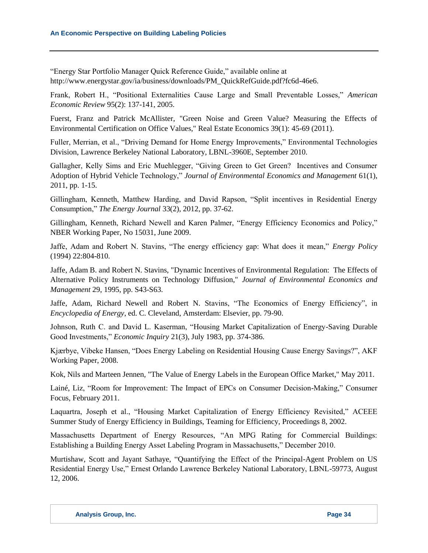"Energy Star Portfolio Manager Quick Reference Guide," available online at http://www.energystar.gov/ia/business/downloads/PM\_QuickRefGuide.pdf?fc6d-46e6.

Frank, Robert H., "Positional Externalities Cause Large and Small Preventable Losses," *American Economic Review* 95(2): 137-141, 2005.

Fuerst, Franz and Patrick McAllister, "Green Noise and Green Value? Measuring the Effects of Environmental Certification on Office Values," Real Estate Economics 39(1): 45-69 (2011).

Fuller, Merrian, et al., "Driving Demand for Home Energy Improvements," Environmental Technologies Division, Lawrence Berkeley National Laboratory, LBNL-3960E, September 2010.

Gallagher, Kelly Sims and Eric Muehlegger, "Giving Green to Get Green? Incentives and Consumer Adoption of Hybrid Vehicle Technology," *Journal of Environmental Economics and Management* 61(1), 2011, pp. 1-15.

Gillingham, Kenneth, Matthew Harding, and David Rapson, "Split incentives in Residential Energy Consumption," *The Energy Journal* 33(2), 2012, pp. 37-62.

Gillingham, Kenneth, Richard Newell and Karen Palmer, "Energy Efficiency Economics and Policy," NBER Working Paper, No 15031, June 2009.

Jaffe, Adam and Robert N. Stavins, "The energy efficiency gap: What does it mean," *Energy Policy* (1994) 22:804-810.

Jaffe, Adam B. and Robert N. Stavins, "Dynamic Incentives of Environmental Regulation: The Effects of Alternative Policy Instruments on Technology Diffusion," *Journal of Environmental Economics and Management* 29, 1995, pp. S43-S63.

Jaffe, Adam, Richard Newell and Robert N. Stavins, "The Economics of Energy Efficiency", in *Encyclopedia of Energy*, ed. C. Cleveland, Amsterdam: Elsevier, pp. 79-90.

Johnson, Ruth C. and David L. Kaserman, "Housing Market Capitalization of Energy-Saving Durable Good Investments," *Economic Inquiry* 21(3), July 1983, pp. 374-386.

Kjærbye, Vibeke Hansen, "Does Energy Labeling on Residential Housing Cause Energy Savings?", AKF Working Paper, 2008.

Kok, Nils and Marteen Jennen, "The Value of Energy Labels in the European Office Market," May 2011.

Lainé, Liz, "Room for Improvement: The Impact of EPCs on Consumer Decision-Making," Consumer Focus, February 2011.

Laquartra, Joseph et al., "Housing Market Capitalization of Energy Efficiency Revisited," ACEEE Summer Study of Energy Efficiency in Buildings, Teaming for Efficiency, Proceedings 8, 2002.

Massachusetts Department of Energy Resources, "An MPG Rating for Commercial Buildings: Establishing a Building Energy Asset Labeling Program in Massachusetts," December 2010.

Murtishaw, Scott and Jayant Sathaye, "Quantifying the Effect of the Principal-Agent Problem on US Residential Energy Use," Ernest Orlando Lawrence Berkeley National Laboratory, LBNL-59773, August 12, 2006.